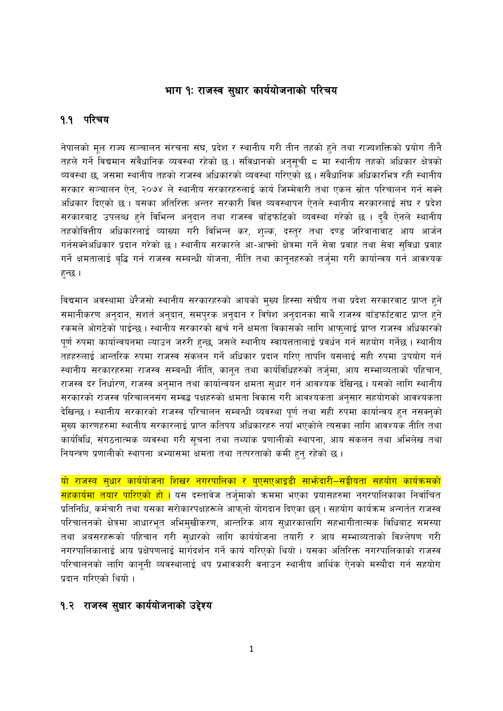# भाग १ः राजस्व सुधार कार्ययोजनाको परिचय

#### १.१ परिचय

नेपालको मूल राज्य सञ्चालन संरचना संघ, प्रदेश र स्थानीय गरी तीन तहको हुने तथा राज्यशक्तिको प्रयोग तीनै तहले गर्ने विद्यमान संवैधानिक व्यवस्था रहेको छ । संविधानको अनुसूची ८ मा स्थानीय तहको अधिकार क्षेत्रको व्यवस्था छ, जसमा स्थानीय तहको राजस्व अधिकारको व्यवस्था गरिएको छ। संवैधानिक अधिकारभित्र रही स्थानीय सरकार सञ्चालन ऐन, २०७४ ले स्थानीय सरकारहरुलाई कार्य जिम्मेवारी तथा एकल स्रोत परिचालन गर्न सक्ने अधिकार दिएको छ । यसका अतिरिक्त अन्तर सरकारी वित्त व्यवस्थापन ऐनले स्थानीय सरकारलाई संघ र प्रदेश सरकारबाट उपलब्ध हने विभिन्न अनुदान तथा राजस्व बाँडफाँटको व्यवस्था गरेको छ । दबै ऐनले स्थानीय तहकोवित्तीय अधिकारलाई व्याख्या गरी विभिन्न कर, शुल्क, दस्तुर तथा दण्ड जरिवानावाट आय आर्जन गर्नसक्नेअधिकार प्रदान गरेको छ । स्थानीय सरकारले आ-आफ्नो क्षेत्रमा गर्ने सेवा प्रवाह तथा सेवा सुविधा प्रवाह गर्ने क्षमतालाई बृद्धि गर्न राजस्व सम्बन्धी योजना, नीति तथा कानूनहरुको तर्जुमा गरी कार्यान्वय गर्न आवश्यक हुन्छ ।

विद्यमान अवस्थामा धेरैजसो स्थानीय सरकारहरुको आयको मुख्य हिस्सा संघीय तथा प्रदेश सरकारवाट प्राप्त हुने समानीकरण अनुदान, सशर्त अनुदान, समपुरक अनुदान र विषेश अनुदानका साथै राजस्व बाँडफाँटवाट प्राप्त हुने रकमले ओगटेको पाईन्छ। स्थानीय सरकारको खर्च गर्ने क्षमता विकासको लागि आफुलाई प्राप्त राजस्व अधिकारको पूर्ण रुपमा कार्यान्वयनमा ल्याउन जरुरी हुन्छ, जसले स्थानीय स्वायत्ततालाई प्रवर्धन गर्न सहयोग गर्नेछ । स्थानीय तहहरुलाई आन्तरिक रुपमा राजस्व संकलन गर्ने अधिकार प्रदान गरिए तापनि यसलाई सही रुपमा उपयोग गर्न स्थानीय सरकारहरुमा राजस्व सम्बन्धी नीति, कानून तथा कार्यविधिहरुको तर्ज्मा, आय सम्भाव्यताको पहिचान, राजस्व दर निर्धारण, राजस्व अनुमान तथा कार्यान्वयन क्षमता सुधार गर्न आवश्यक देखिन्छ । यसको लागि स्थानीय सरकारको राजस्व परिचालनसंग सम्वद्ध पक्षहरुको क्षमता विकास गरी आवश्यकता अनुसार सहयोगको आवश्यकता देखिन्छ । स्थानीय सरकारको राजस्व परिचालन सम्बन्धी व्यवस्था पूर्ण तथा सही रुपमा कार्यान्वय हुन नसक्नुको मुख्य कारणहरुमा स्थानीय सरकारलाई प्राप्त कतिपय अधिकारहरु नयाँ भएकोले त्यसका लागि आवश्यक नीति तथा कार्यविधि, संगठनात्मक व्यवस्था गरी सूचना तथा तथ्यांक प्रणालीको स्थापना, आय संकलन तथा अभिलेख तथा नियन्त्रण प्रणालीको स्थापना अभ्यासमा क्षमता तथा तत्परताको कमी हुन् रहेको छ ।

<u>यो राजस्व सुधार कार्ययोजना शिखर नगरपालिका र युएसएआइडी साभ्रेदारी–सङ्घीयता सहयोग कार्यक्रमको</u> <mark>सहकार्यमा तयार पारिएको हो ।</mark> यस दस्तावेज तर्ज्**माको क्रममा भएका प्रयासहरुमा नगरपालिकाका** निर्वाचित प्रतिनिधि, कर्मचारी तथा यसका सरोकारपक्षहरूले आफ्नो योगदान दिएका छन् । सहयोग कार्यक्रम अन्गर्तत राजस्व परिचालनको क्षेत्रमा आधारभूत अभिमुखीकरण, आन्तरिक आय सुधारकालागि सहभागीतात्मक विधिबाट समस्या तथा अबसरहरूको पहिचान गरी सुधारको लागि कार्ययोजना तयारी र आय सम्भाव्यताको विश्लेषण गरी नगरपालिकालाई आय प्रक्षेपणलाई मार्गदर्शन गर्ने कार्य गरिएको थियो । यसका अतिरिक्त नगरपालिकाको राजस्व परिचालनको लागि कानूनी व्यवस्थालाई थप प्रभावकारी वनाउन स्थानीय आर्थिक ऐनको मस्यौदा गर्न सहयोग प्रदान गरिएको थियो ।

### १.२ राजस्व सुधार कार्ययोजनाको उद्देश्य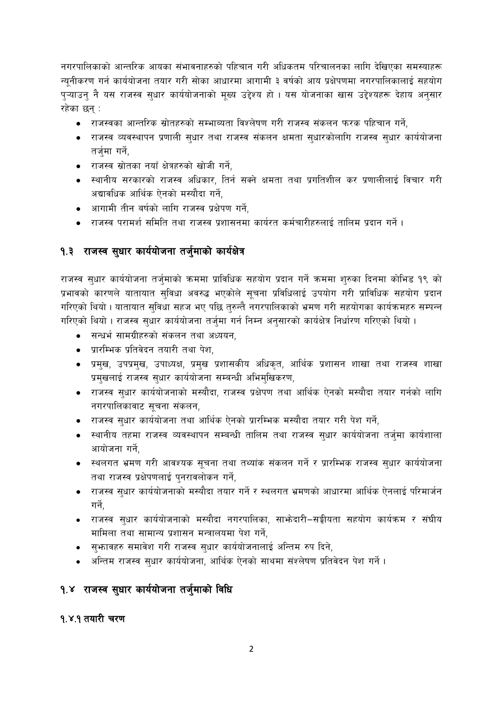नगरपालिकाको आन्तरिक आयका संभावनाहरुको पहिचान गरी अधिकतम परिचालनका लागि देखिएका समस्याहरू न्यनीकरण गर्न कार्ययोजना तयार गरी सोका आधारमा आगामी ३ वर्षको आय प्रक्षेपणमा नगरपालिकालाई सहयोग प्ऱ्याउन् नै यस राजस्व सुधार कार्ययोजनाको मूख्य उद्देश्य हो । यस योजनाका खास उद्देश्यहरू देहाय अनुसार रहेका छन :

- राजस्वका आन्तरिक स्रोतहरुको सम्भाब्यता विश्लेषण गरी राजस्व संकलन फरक पहिचान गर्ने,
- राजस्व व्यवस्थापन प्रणाली सुधार तथा राजस्व संकलन क्षमता सुधारकोलागि राजस्व सुधार कार्ययोजना तर्जुमा गर्ने,
- राजस्व स्रोतका नयाँ क्षेत्रहरुको खोजी गर्ने,
- स्थानीय सरकारको राजस्व अधिकार, तिर्न सक्ने क्षमता तथा प्रगतिशील कर प्रणालीलाई विचार गरी अद्यावधिक आर्थिक ऐनको मस्यौदा गर्ने,
- आगामी तीन बर्षको लागि राजस्व प्रक्षेपण गर्ने.
- राजस्व परामर्श समिति तथा राजस्व प्रशासनमा कार्यरत कर्मचारीहरुलाई तालिम प्रदान गर्ने ।

# १.३ राजस्व सुधार कार्ययोजना तर्जुमाको कार्यक्षेत्र

राजस्व सुधार कार्ययोजना तर्जुमाको क्रममा प्राविधिक सहयोग प्रदान गर्ने क्रममा शुरुका दिनमा कोभिड १९ को प्रभावको कारणले यातायात सुविधा अवरुद्ध भएकोले सूचना प्रविधिलाई उपयोग गरी प्राविधिक सहयोग प्रदान गरिएको थियो। यातायात सुविधा सहज भए पछि तुरुन्तै नगरपालिकाको भ्रमण गरी सहयोगका कार्यक्रमहरु सम्पन्न गरिएको थियो । राजस्व सुधार कार्ययोजना तर्जुमा गर्न निम्न अनुसारको कार्यक्षेत्र निर्धारण गरिएको थियो ।

- सन्धर्भ सामग्रीहरुको संकलन तथा अध्ययन,
- प्रारम्भिक प्रतिवेदन तयारी तथा पेश.
- प्रमुख, उपप्रमुख, उपाध्यक्ष, प्रमुख प्रशासकीय अधिकृत, आर्थिक प्रशासन शाखा तथा राजस्व शाखा प्रमुखलाई राजस्व सुधार कार्ययोजना सम्बन्धी अभिमुखिकरण,
- राजस्व सुधार कार्ययोजनाको मस्यौदा, राजस्व प्रक्षेपण तथा आर्थिक ऐनको मस्यौदा तयार गर्नको लागि नगरपालिकावाट सूचना संकलन,
- राजस्व सधार कार्ययोजना तथा आर्थिक ऐनको प्रारम्भिक मस्यौदा तयार गरी पेश गर्ने.
- स्थानीय तहमा राजस्व व्यवस्थापन सम्बन्धी तालिम तथा राजस्व सुधार कार्ययोजना तर्जुमा कार्यशाला आयोजना गर्ने.
- स्थलगत भ्रमण गरी आवश्यक सुचना तथा तथ्यांक संकलन गर्ने र प्रारम्भिक राजस्व सुधार कार्ययोजना तथा राजस्व प्रक्षेपणलाई पनरावलोकन गर्ने.
- राजस्व सुधार कार्ययोजनाको मस्यौदा तयार गर्ने र स्थलगत भ्रमणको आधारमा आर्थिक ऐनलाई परिमार्जन गर्ने.
- राजस्व सुधार कार्ययोजनाको मस्यौदा नगरपालिका, साभेदारी–सङ्घीयता सहयोग कार्यक्रम र संघीय मामिला तथा सामान्य प्रशासन मन्त्रालयमा पेश गर्ने.
- सुफावहरु समावेश गरी राजस्व सुधार कार्ययोजनालाई अन्तिम रुप दिने,
- अन्तिम राजस्व सुधार कार्ययोजना, आर्थिक ऐनको साथमा संश्लेषण प्रतिवेदन पेश गर्ने।

# १.४ राजस्व सुधार कार्ययोजना तर्जुमाको विधि

## १.४.१ तयारी चरण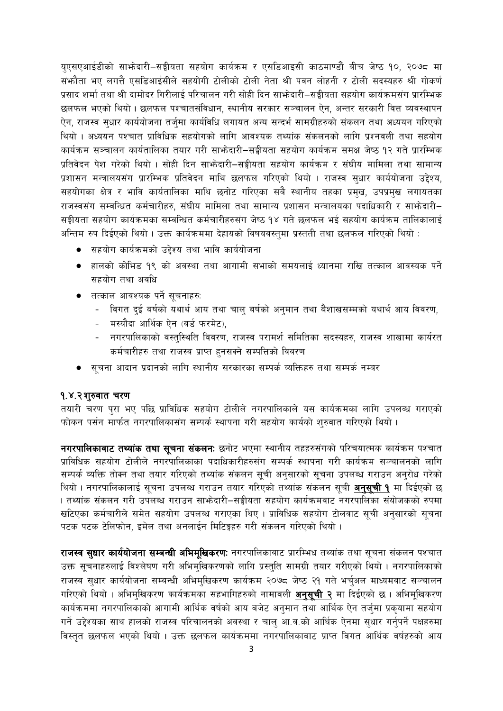युएसएआईडीको साभ्रेदारी-सङ्घीयता सहयोग कार्यक्रम र एसडिआइसी काठमाण्डौं बीच जेष्ठ १०, २०७८ मा संभौता भए लगत्तै एसडिआईसीले सहयोगी टोलीको टोली नेता श्री पवन लोहनी र टोली सदस्यहरु श्री गोकर्ण प्रसाद शर्मा तथा श्री दामोदर गिरीलाई परिचालन गरी सोही दिन साभेदारी–सङ्गीयता सहयोग कार्यक्रमसंग प्रारम्भिक छलफल भएको थियो । छलफल पश्चातसंविधान, स्थानीय सरकार सञ्चालन ऐन, अन्तर सरकारी वित्त व्यवस्थापन ऐन, राजस्व सुधार कार्ययोजना तर्जुमा कार्यविधि लगायत अन्य सन्दर्भ सामग्रीहरुको संकलन तथा अध्ययन गरिएको थियो । अध्ययन पश्चात प्राविधिक सहयोगको लागि आवश्यक तथ्यांक संकलनको लागि प्रश्नवली तथा सहयोग कार्यक्रम सञ्चालन कार्यतालिका तयार गरी साभ्रेदारी-सङ्घीयता सहयोग कार्यक्रम समक्ष जेष्ठ १२ गते प्रारम्भिक प्रतिवेदन पेश गरेको थियो । सोही दिन साभ्रेदारी-सङ्घीयता सहयोग कार्यक्रम र संघीय मामिला तथा सामान्य प्रशासन मन्त्रालयसंग प्रारम्भिक प्रतिवेदन माथि छलफल गरिएको थियो । राजस्व सुधार कार्ययोजना उद्देश्य, सहयोगका क्षेत्र र भावि कार्यतालिका माथि छनोट गरिएका सबै स्थानीय तहका प्रमुख, उपप्रमुख लगायतका राजस्वसंग सम्वन्धित कर्मचारीहरु, संघीय मामिला तथा सामान्य प्रशासन मन्त्रालयका पदाधिकारी र साभ्रेदारी– सङ्गीयता सहयोग कार्यक्रमका सम्वन्धित कर्मचारीहरुसंग जेष्ठ १४ गते छलफल भई सहयोग कार्यक्रम तालिकालाई अन्तिम रुप दिईएको थियो। उक्त कार्यक्रममा देहायको विषयवस्तुमा प्रस्तती तथा छलफल गरिएको थियो :

- सहयोग कार्यक्रमको उद्देश्य तथा भावि कार्ययोजना
- हालको कोभिड १९ को अवस्था तथा आगामी सभाको समयलाई ध्यानमा राखि तत्काल आवस्यक पर्ने सहयोग तथा अवधि
- तत्काल आवश्यक पर्ने सूचनाहरु:
	- विगत दुई बर्षको यथार्थ आय तथा चाल् बर्षको अनुमान तथा बैशाखसम्मको यथार्थ आय विवरण,
	- मस्यौदा आर्थिक ऐन (वर्ड फरमेट),
	- नगरपालिकाको वस्तुस्थिति विवरण, राजस्व परामर्श समितिका सदस्यहरु, राजस्व शाखामा कार्यरत कर्मचारीहरु तथा राजस्व प्राप्त हुनसक्ने सम्पत्तिको विवरण
- सूचना आदान प्रदानको लागि स्थानीय सरकारका सम्पर्क व्यक्तिहरु तथा सम्पर्क नम्बर

#### १.४.२शुरुवात चरण

तयारी चरण पुरा भए पछि प्राविधिक सहयोग टोलीले नगरपालिकाले यस कार्यक्रमका लागि उपलब्ध गराएको फोकन पर्सन मार्फत नगरपालिकासंग सम्पर्क स्थापना गरी सहयोग कार्यको शुरुवात गरिएको थियो।

नगरपालिकावाट तथ्यांक तथा सूचना संकलनः छनोट भएमा स्थानीय तहहरुसंगको परिचयात्मक कार्यक्रम पश्चात प्राविधिक सहयोग टोलीले नगरपालिकाका पदाधिकारीहरुसंग सम्पर्क स्थापना गरी कार्यक्रम सञ्चालनको लागि सम्पर्क व्यक्ति तोक्न तथा तयार गरिएको तथ्यांक संकलन सूची अनुसारको सूचना उपलब्ध गराउन अनुरोध गरेको थियो । नगरपालिकालाई सूचना उपलब्ध गराउन तयार गरिएको तथ्यांक संकलन सूची <mark>अनुसूची १</mark> मा दिईएको छ । तथ्यांक संकलन गरी उपलब्ध गराउन साफोदारी–सङ्घीयता सहयोग कार्यक्रमवाट नगरपालिका संयोजकको रुपमा खटिएका कर्मचारीले समेत सहयोग उपलब्ध गराएका थिए । प्राविधिक सहयोग टोलवाट सूची अनुसारको सूचना पटक पटक टेलिफोन, इमेल तथा अनलाईन मिटिङ्गहरु गरी संकलन गरिएको थियो ।

राजस्व सुधार कार्ययोजना सम्बन्धी अभिमुखिकरण: नगरपालिकावाट प्रारम्भिध तथ्यांक तथा सूचना संकलन पश्चात उक्त सूचनाहरुलाई विश्लेषण गरी अभिमुखिकरणको लागि प्रस्तुति सामग्री तयार गरीएको थियो । नगरपालिकाको राजस्व सुधार कार्ययोजना सम्बन्धी अभिमुखिकरण कार्यक्रम २०७८ जेष्ठ २१ गते भर्चुअल माध्यमवाट सञ्चालन गरिएको थियो । अभिमुखिकरण कार्यक्रमका सहभागिहरुको नामावली अनुसूची २ मा दिईएको छ । अभिमूखिकरण कार्यक्रममा नगरपालिकाको आगामी आर्थिक वर्षको आय बजेट अनुमान तथा आर्थिक ऐन तर्जुमा प्रकुयामा सहयोग गर्ने उद्देश्यका साथ हालको राजस्व परिचालनको अवस्था र चाल् आ.व.को आर्थिक ऐनमा सुधार गर्नुपर्ने पक्षहरुमा विस्तृत छलफल भएको थियो । उक्त छलफल कार्यक्रममा नगरपालिकाबाट प्राप्त विगत आर्थिक वर्षहरुको आय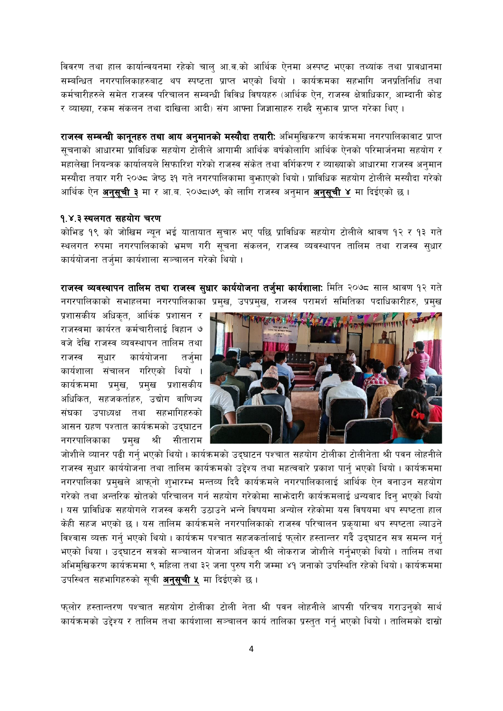विवरण तथा हाल कार्यान्वयनमा रहेको चाल् आ.व.को आर्थिक ऐनमा अस्पष्ट भएका तथ्यांक तथा प्रावधानमा सम्बन्धित नगरपालिकाहरुबाट थप स्पष्टता प्राप्त भएको थियो । कार्यक्रमका सहभागि जनप्रतिनिधि तथा कर्मचारीहरुले समेत राजस्व परिचालन सम्बन्धी विविध विषयहरु (आर्थिक ऐन, राजस्व क्षेत्राधिकार, आम्दानी कोड र व्याख्या, रकम संकलन तथा दाखिला आदी) संग आफ्ना जिज्ञासाहरु राख्दै सुभ्राव प्राप्त गरेका थिए ।

राजस्व सम्बन्धी कानूनहरु तथा आय अनुमानको मस्यौदा तयारी: अभिमुखिकरण कार्यक्रममा नगरपालिकावाट प्राप्त सूचनाको आधारमा प्राविधिक सहयोग टोलीले आगामी आर्थिक बर्षकोलागि आर्थिक ऐनको परिमार्जनमा सहयोग र महालेखा नियन्त्रक कार्यालयले सिफारिश गरेको राजस्व संकेत तथा वर्गिकरण र व्याख्याको आधारमा राजस्व अनुमान मस्यौदा तयार गरी २०७८ जेष्ठ ३१ गते नगरपालिकामा बुफाएको थियो। प्राविधिक सहयोग टोलीले मस्यौदा गरेको आर्थिक ऐन **अनुसूची ३** मा र आ.ब. २०७८,७९ को लागि राजस्व अनुमान **अनुसूची ४** मा दिईएको छ ।

#### १.४.३ स्थलगत सहयोग चरण

कोभिड १९ को जोखिम न्यून भई यातायात सुचारु भए पछि प्राविधिक सहयोग टोलीले श्रावण १२ र १३ गते स्थलगत रुपमा नगरपालिकाको भ्रमण गरी सूचना संकलन, राजस्व व्यवस्थापन तालिम तथा राजस्व सुधार कार्ययोजना तर्जुमा कार्यशाला सञ्चालन गरेको थियो ।

राजस्व व्यवस्थापन तालिम तथा राजस्व सुधार कार्ययोजना तर्जुमा कार्यशालाः मिति २०७८ साल श्रावण १२ गते नगरपालिकाको सभाहलमा नगरपालिकाका प्रमुख, उपप्रमुख, राजस्व परामर्श समितिका पदाधिकारीहरु, प्रमुख

प्रशासकीय अधिकृत, आर्थिक प्रशासन र राजस्वमा कार्यरत कर्मचारीलाई विहान ७ वजे देखि राजस्व व्यवस्थापन तालिम तथा सधार कार्ययोजना राजस्व तर्जमा कार्यशाला संचालन गरिएको थियो । कार्यक्रममा प्रमुख, प्रमुख प्रशासकीय अधिकित, सहजकर्ताहरु, उद्योग वाणिज्य संघका उपाध्यक्ष तथा सहभागिहरुको आसन ग्रहण पश्तात कार्यक्रमको उदघाटन नगरपालिकाका प्रमख श्री सीताराम



जोशीले व्यानर पढी गर्नु भएको थियो । कार्यक्रमको उद्घाटन पश्चात सहयोग टोलीका टोलीनेता श्री पवन लोहनीले राजस्व सुधार कार्ययोजना तथा तालिम कार्यक्रमको उद्देश्य तथा महत्ववारे प्रकाश पार्नु भएको थियो । कार्यक्रममा नगरपालिका प्रमुखले आफुनो शुभारम्भ मन्तव्य दिदै कार्यक्रमले नगरपालिकालाई आर्थिक ऐन वनाउन सहयोग गरेको तथा अन्तरिक स्रोतको परिचालन गर्न सहयोग गरेकोमा साभ्रेदारी कार्यक्रमलाई धन्यवाद दिन भएको थियो । यस प्राविधिक सहयोगले राजस्व कसरी उठाउने भन्ने विषयमा अन्योल रहेकोमा यस विषयमा थप स्पष्टता हाल केही सहज भएको छ । यस तालिम कार्यक्रमले नगरपालिकाको राजस्व परिचालन प्रकयामा थप स्पष्टता ल्याउने विश्वास व्यक्त गर्न् भएको थियो । कार्यक्रम पश्चात सहजकर्तालाई फुलोर हस्तान्तर गर्दै उद्घाटन सत्र समन्न गर्न् भएको थिया । उद्घाटन सत्रको सञ्चालन योजना अधिकृत श्री लोकराज जोशीले गर्नुभएको थियो । तालिम तथा अभिमुखिकरण कार्यक्रममा ९ महिला तथा ३२ जना पुरुष गरी जम्मा ४१ जनाको उपस्थिति रहेको थियो। कार्यक्रममा उपस्थित सहभागिहरुको सूची **अनुसूची ५** मा दिईएको छ ।

फ्लोर हस्तान्तरण पश्चात सहयोग टोलीका टोली नेता श्री पवन लोहनीले आपसी परिचय गराउन्को सार्थ कार्यक्रमको उद्देश्य र तालिम तथा कार्यशाला सञ्चालन कार्य तालिका प्रस्तुत गर्नु भएको थियो । तालिमको दास्रो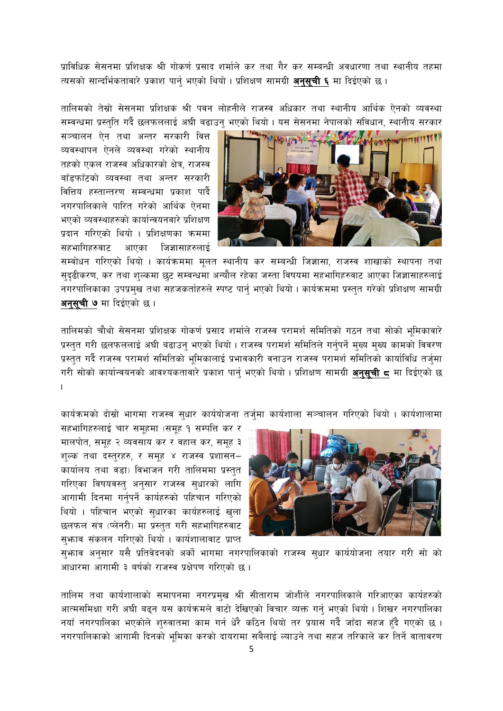प्राविधिक सेसनमा प्रशिक्षक श्री गोकर्ण प्रसाद शर्माले कर तथा गैर कर सम्बन्धी अवधारणा तथा स्थानीय तहमा त्यसको सान्दर्भिकतावारे प्रकाश पार्न भएको थियो । प्रशिक्षण सामग्री **अनसची ६** मा दिईएको छ ।

तालिमको तेस्रो सेसनमा प्रशिक्षक श्री पवन लोहनीले राजस्व अधिकार तथा स्थानीय आर्थिक ऐनको व्यवस्था सम्वन्धमा प्रस्तुति गर्दै छलफललाई अघी बढाउन् भएको थियो । यस सेसनमा नेपालको संविधान, स्थानीय सरकार

सञ्चालन ऐन तथा अन्तर सरकारी वित्त व्यवस्थापन ऐनले व्यवस्था गरेको स्थानीय तहको एकल राजस्व अधिकारको क्षेत्र, राजस्व बाँडफाँटको व्यवस्था तथा अन्तर सरकारी वित्तिय हस्तान्तरण सम्वन्धमा प्रकाश पार्दै नगरपालिकाले पारित गरेको आर्थिक ऐनमा भएको व्यवस्थाहरुको कार्यान्वयनवारे प्रशिक्षण प्रदान गरिएको थियो । प्रशिक्षणका क्रममा सहभागिहरुवाट आएका जिज्ञासाहरुलाई



सम्वोधन गरिएको थियो । कार्यक्रममा मूलत स्थानीय कर सम्बन्धी जिज्ञासा, राजस्व शाखाको स्थापना तथा सुदृढीकरण, कर तथा शुल्कमा छुट सम्वन्धमा अन्यौल रहेका जस्ता विषयमा सहभागिहरुवाट आएका जिज्ञासाहरुलाई नगरपालिकाका उपप्रमुख तथा सहजकर्ताहरुले स्पष्ट पार्नु भएको थियो । कार्यक्रममा प्रस्तुत गरेको प्रशिक्षण सामग्री अनुसूची ७ मा दिईएको छ ।

तालिमको चौथो सेसनमा प्रशिक्षक गोकर्ण प्रसाद शर्माले राजस्व परामर्श समितिको गठन तथा सोको भमिकावारे प्रस्तुत गरी छलफललाई अघी बढाउन् भएको थियो । राजस्व परामर्श समितिले गर्नुपर्ने मुख्य मुख्य कामको विवरण प्रस्तत गर्दै राजस्व परामर्श समितिको भमिकालाई प्रभावकारी वनाउन राजस्व परामर्श समितिको कार्याविधि तर्जमा गरी सोको कार्यान्वयनको आवश्यकतावारे प्रकाश पार्नु भएको थियो । प्रशिक्षण सामग्री **अनुसुची द** मा दिईएको छ .

कार्यक्रमको दोस्रो भागमा राजस्व सुधार कार्ययोजना तर्जुमा कार्यशाला सञ्चालन गरिएको थियो । कार्यशालामा

सहभागिहरुलाई चार समूहमा (समूह १ सम्पत्ति कर र मालपोत, समूह २ व्यवसाय कर र वहाल कर, समूह ३ शुल्क तथा दस्तुरहरु, र समूह ४ राजस्व प्रशासन– कार्यालय तथा वडा) विभाजन गरी तालिममा प्रस्तुत गरिएका विषयवस्त् अनुसार राजस्व सुधारको लागि आगामी दिनमा गर्नुपर्ने कार्यहरुको पहिचान गरिएको थियो । पहिचान भएको सुधारका कार्यहरुलाई खुला छलफल सत्र (प्लेनरी) मा प्रस्तुत गरी सहभागिहरुवाट सुफ़ाव संकलन गरिएको थियो । कार्यशालावाट प्राप्त



सुभ्राव अनुसार यसै प्रतिवेदनको अर्को भागमा नगरपालिकाको राजस्व सुधार कार्ययोजना तयार गरी सो को आधारमा आगामी ३ बर्षको राजस्व प्रक्षेपण गरिएको छ ।

तालिम तथा कार्यशालाको समापनमा नगरप्रमुख श्री सीताराम जोशीले नगरपालिकाले गरिआएका कार्यहरुको आत्मसमिक्षा गरी अघी बढ्न यस कार्यक्रमले वाटो देखिएको विचार व्यक्त गर्नु भएको थियो । शिखर नगरपालिका नयाँ नगरपालिका भएकोले शुरुवातमा काम गर्न धेरै कठिन थियो तर प्रयास गर्दै जाँदा सहज हुँदै गएको छ । नगरपालिकाको आगामी दिनको भमिका करको दायरामा सबैलाई ल्याउने तथा सहज तरिकाले कर तिर्ने वातावरण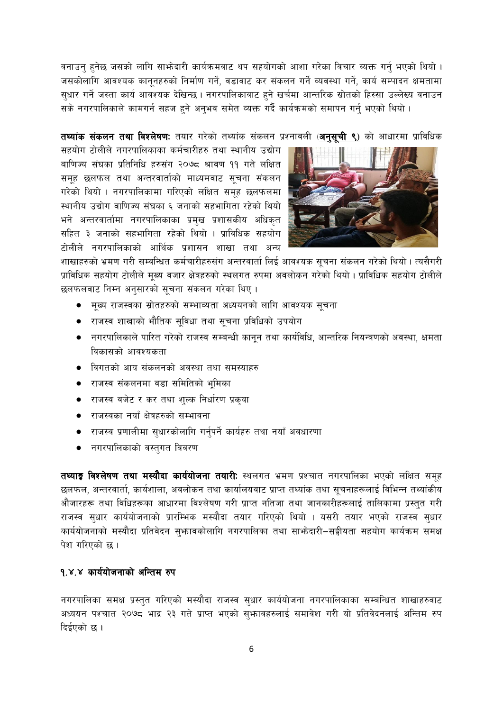वनाउन् हुनेछ जसको लागि साभ्रेदारी कार्यक्रमवाट थप सहयोगको आशा गरेका विचार ब्यक्त गर्नु भएको थियो । जसकोलागि आवश्यक कानुनहरुको निर्माण गर्ने, वडावाट कर संकलन गर्ने व्यवस्था गर्ने, कार्य सम्पादन क्षमतामा सुधार गर्ने जस्ता कार्य आवश्यक देखिन्छ । नगरपालिकावाट हुने खर्चमा आन्तरिक स्रोतको हिस्सा उल्लेख्य वनाउन सके नगरपालिकाले कामगर्न सहज हुने अनुभव समेत व्यक्त गर्दै कार्यक्रमको समापन गर्नु भएको थियो ।

तथ्यांक संकलन तथा विश्लेषण: तयार गरेको तथ्यांक संकलन प्रश्नावली (अनुसुची ९) को आधारमा प्राविधिक

सहयोग टोलीले नगरपालिकाका कर्मचारीहरु तथा स्थानीय उद्योग बाणिज्य संघका प्रतिनिधि हरुसंग २०७८ श्रावण ११ गते लक्षित समूह छलफल तथा अन्तरवार्ताको माध्यमवाट सूचना संकलन गरेको थियो । नगरपालिकामा गरिएको लक्षित समूह छलफलमा स्थानीय उद्योग वाणिज्य संघका ६ जनाको सहभागिता रहेको थियो भने अन्तरवार्तामा नगरपालिकाका प्रमुख प्रशासकीय अधिकृत सहित ३ जनाको सहभागिता रहेको थियो । प्राविधिक सहयोग टोलीले नगरपालिकाको आर्थिक प्रशासन शाखा तथा अन्य



शाखाहरुको भ्रमण गरी सम्वन्धित कर्मचारीहरुसंग अन्तरवार्ता लिई आवश्यक सूचना संकलन गरेको थियो । त्यसैगरी प्राविधिक सहयोग टोलीले मूख्य वजार क्षेत्रहरुको स्थलगत रुपमा अवलोकन गरेको थियो । प्राविधिक सहयोग टोलीले छलफलवाट निम्न अनुसारको सूचना संकलन गरेका थिए ।

- मूख्य राजस्वका स्रोतहरुको सम्भाव्यता अध्ययनको लागि आवश्यक सूचना
- राजस्व शाखाको भौतिक सूविधा तथा सूचना प्रविधिको उपयोग
- नगरपालिकाले पारित गरेको राजस्व सम्बन्धी कानून तथा कार्यविधि, आन्तरिक नियन्त्रणको अवस्था, क्षमता विकासको आवश्यकता
- विगतको आय संकलनको अवस्था तथा समस्याहरु
- राजस्व संकलनमा वडा समितिको भूमिका  $\bullet$
- राजस्व वजेट र कर तथा शुल्क निर्धारण प्रकृया
- राजस्वका नयाँ क्षेत्रहरुको सम्भावना
- ्राजस्व प्रणालीमा सुधारकोलागि गर्नुपर्ने कार्यहरु तथा नयाँ अवधारणा  $\bullet$
- नगरपालिकाको वस्तुगत विवरण

तथ्याङ्क विश्लेषण तथा मस्यौदा कार्ययोजना तयारी: स्थलगत भ्रमण प्रश्चात नगरपालिका भएको लक्षित समूह छलफल, अन्तरवार्ता, कार्यशाला, अवलोकन तथा कार्यालयवाट प्राप्त तथ्यांक तथा सूचनाहरूलाई विभिन्न तथ्यांकीय औजारहरू तथा विधिहरूका आधारमा विश्लेषण गरी प्राप्त नतिजा तथा जानकारीहरूलाई तालिकामा प्रस्तुत गरी राजस्व सुधार कार्ययोजनाको प्रारम्भिक मस्यौदा तयार गरिएको थियो । यसरी तयार भएको राजस्व सुधार कार्ययोजनाको मस्यौदा प्रतिवेदन सुभ्रावकोलागि नगरपालिका तथा साभ्रेदारी–सङ्घीयता सहयोग कार्यक्रम समक्ष पेश गरिएको छ।

#### १.४.४ कार्ययोजनाको अन्तिम रुप

नगरपालिका समक्ष प्रस्तुत गरिएको मस्यौदा राजस्व सुधार कार्ययोजना नगरपालिकाका सम्बन्धित शाखाहरुवाट अध्ययन पश्चात २०७८ भाद्र २३ गते प्राप्त भएको स्भावहरुलाई समावेश गरी यो प्रतिवेदनलाई अन्तिम रुप दिईएको छ ।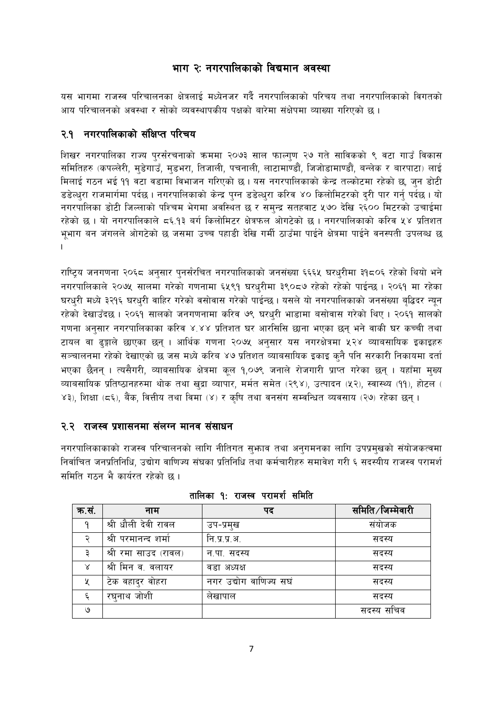### भाग २: नगरपालिकाको विद्यमान अवस्था

यस भागमा राजस्व परिचालनका क्षेत्रलाई मध्येनजर गर्दै नगरपालिकाको परिचय तथा नगरपालिकाको विगतको आय परिचालनको अवस्था र सोको व्यवस्थापकीय पक्षको बारेमा संक्षेपमा व्याख्या गरिएको छ ।

#### २.१ नगरपालिकाको संक्षिप्त परिचय

शिखर नगरपालिका राज्य पुरर्संरचनाको क्रममा २०७३ साल फाल्गुण २७ गते साविकको ९ वटा गाउँ विकास समितिहरु (कपल्लेरी, मुडेगाउँ, मुडभरा, तिजाली, पचनाली, लाटामाण्डौं, जिजोडामाण्डौं, बन्लेक र बारपाटा) लाई मिलाई गठन भई ११ वटा वडामा विभाजन गरिएको छ। यस नगरपालिकाको केन्द्र तल्कोटमा रहेको छ, जन डोटी डडेल्धुरा राजमार्गमा पर्दछ । नगरपालिकाको केन्द्र पुग्न डडेल्धुरा करिव ४० किलोमिटरको दुरी पार गर्नु पर्दछ । यो नगरपालिका डोटी जिल्लाको पश्चिम भेगमा अवस्थित छ र समुन्द्र सतहवाट ५७० देखि २६०० मिटरको उचाईमा रहेको छ । यो नगरपालिकाले ८६.१३ बर्ग किलोमिटर क्षेत्रफल ओगटेको छ । नगरपालिकाको करिव ५४ प्रतिशत भुभाग बन जंगलले ओगटेको छ जसमा उच्च पहाडी देखि गर्मी ठाउँमा पाईने क्षेत्रमा पाईने वनस्पती उपलब्ध छ  $\mathbf{I}$ 

राष्ट्रिय जनगणना २०६८ अनुसार पुनर्संरचित नगरपालिकाको जनसंख्या ६६६५ घरधुरीमा ३१८०६ रहेको थियो भने नगरपालिकाले २०७५ सालमा गरेको गणनामा ६५९१ घरधुरीमा ३९०८७ रहेको रहेको पाईन्छ । २०६१ मा रहेका घरधरी मध्ये ३२१६ घरधरी वाहिर गरेको वसोवास गरेको पाईन्छ । यसले यो नगरपालिकाको जनसंख्या बद्धिदर न्यन रहेको देखाउँदछ । २०६१ सालको जनगणनामा करिव ७९ घरधुरी भाडामा बसोवास गरेको थिए । २०६१ सालको गणना अनुसार नगरपालिकाका करिव ४.४४ प्रतिशत घर आरसिसि छाना भएका छन् भने वाकी घर कच्ची तथा टायल वा ढुङ्गाले छाएका छन् । आर्थिक गणना २०७५ अनुसार यस नगरक्षेत्रमा ५२४ व्याबसायिक इकाइहरु सञ्चालनमा रहेको देखाएको छ जस मध्ये करिब ४७ प्रतिशत व्याबसायिक इकाइ कुनै पनि सरकारी निकायमा दर्ता भएका छैनन् । त्यसैगरी, व्याबसायिक क्षेत्रमा कूल १,०७९ जनाले रोजगारी प्राप्त गरेका छन् । यहाँमा मुख्य व्याबसायिक प्रतिष्ठानहरुमा थोक तथा खुद्रा व्यापार, मर्मत समेत (२९४), उत्पादन (५२), स्वास्थ्य (११), होटल ( ४३), शिक्षा (८६), बैंक, वित्तीय तथा विमा (४) र कृषि तथा वनसंग सम्वन्धित व्यवसाय (२७) रहेका छन् ।

#### २.२ राजस्व प्रशासनमा संलग्न मानव संसाधन

नगरपालिकाकाको राजस्व परिचालनको लागि नीतिगत सुभ्राव तथा अनुगमनका लागि उपप्रमुखको संयोजकत्वमा निर्वाचित जनप्रतिनिधि, उद्योग वाणिज्य संघका प्रतिनिधि तथा कर्मचारीहरु समावेश गरी ६ सदस्यीय राजस्व परामर्श समिति गठन भै कार्यरत रहेको छ।

| क.सं.    | नाम                  | पद                     | समिति ∕ जिम्मेवारी |
|----------|----------------------|------------------------|--------------------|
| q        | श्री धौली देवी रावल  | उप-प्रमुख              | संयोजक             |
|          | श्री परमानन्द शर्मा  | नि.प्र.प्र.अ.          | सदस्य              |
|          | श्री रमा साउद (रावल) | न.पा. सदस्य            | सदस्य              |
| $\times$ | श्री मिन व. वलायर    | वडा अध्यक्ष            | सदस्य              |
| X        | टेक वहादुर वोहरा     | नगर उद्योग वाणिज्य सघं | सदस्य              |
| ٤        | रघनाथ जोशी           | लेखापाल                | सदस्य              |
| ও        |                      |                        | सदस्य सचिव         |

तालिका **१** राजस्व परामर्श समिति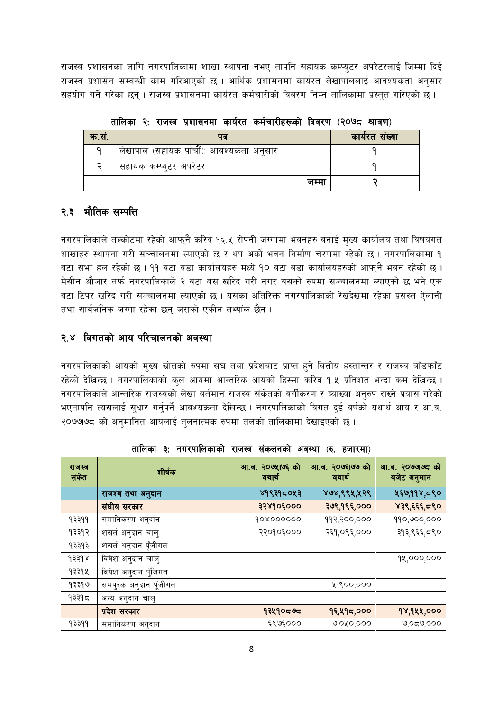राजस्व प्रशासनका लागि नगरपालिकामा शाखा स्थापना नभए तापनि सहायक कम्प्युटर अपरेटरलाई जिम्मा दिई राजस्व प्रशासन सम्बन्धी काम गरिआएको छ । आर्थिक प्रशासनमा कार्यरत लेखापाललाई आवश्यकता अनुसार सहयोग गर्ने गरेका छन् । राजस्व प्रशासनमा कार्यरत कर्मचारीको विवरण निम्न तालिकामा प्रस्तुत गरिएको छ ।

| क.सं. |                                         | कार्यरत संख्या |
|-------|-----------------------------------------|----------------|
|       | लेखापाल (सहायक पाँचौं): आवश्यकता अनुसार |                |
|       | सहायक कम्प्युटर अपरेटर                  |                |
|       | जम्मा                                   |                |

तालिका २: राजस्व प्रशासनमा कार्यरत कर्मचारीहर को विवरण (२०७८ श्रावण)

# २.३ भौतिक सम्पत्ति

नगरपालिकाले तल्कोटमा रहेको आफ्नै करिव १६.५ रोपनी जग्गामा भवनहरु वनाई मुख्य कार्यालय तथा विषयगत शाखाहरु स्थापना गरी सञ्चालनमा ल्याएको छ र थप अर्को भवन निर्माण चरणमा रहेको छ । नगरपालिकामा १ वटा सभा हल रहेको छ। ११ वटा वडा कार्यालयहरु मध्ये १० वटा वडा कार्यालयहरुको आफ्नै भवन रहेको छ। मेसीन औजार तर्फ नगरपालिकाले २ वटा बस खरिद गरी नगर बसको रुपमा सञ्चालनमा ल्याएको छ भने एक वटा टिपर खरिद गरी सञ्चालनमा ल्याएको छ । यसका अतिरिक्त नगरपालिकाको रेखदेखमा रहेका प्रसस्त ऐलानी तथा सार्वजनिक जग्गा रहेका छन जसको एकीन तथ्यांक छैन ।

### २.४ विगतको आय परिचालनको अवस्था

नगरपालिकाको आयको मुख्य स्रोतको रुपमा संघ तथा प्रदेशवाट प्राप्त हुने वित्तीय हस्तान्तर र राजस्व बाँडफाँट रहेको देखिन्छ । नगरपालिकाको कुल आयमा आन्तरिक आयको हिस्सा करिव १.५ प्रतिशत भन्दा कम देखिन्छ । नगरपालिकाले आन्तरिक राजस्वको लेखा वर्तमान राजस्व संकेतको वर्गीकरण र ब्याख्या अनुरुप राख्ने प्रयास गरेको भएतापनि त्यसलाई सुधार गर्नुपर्ने आवश्यकता देखिन्छ । नगरपालिकाको विगत दुई वर्षको यथार्थ आय र आ.व. २०७७७८ को अनुमानित आयलाई तुलनात्मक रुपमा तलको तालिकामा देखाइएको छ ।

| राजस्व<br>संकेत | शीर्षक                | आ.ब. २०७५।७६ को<br>यथार्थ | आ.ब. २०७६।७७ को<br>यथार्थ | आ.ब. २०७७७८ को<br>बजेट अनुमान |
|-----------------|-----------------------|---------------------------|---------------------------|-------------------------------|
|                 | राजश्व तथा अनुदान     | ४१९३१८०५३                 | ४७४,९९५,५२९               | ५६७,११४,८९०                   |
|                 | संघीय सरकार           | ३२४१०६०००                 | ३७९,१९६,०००               | ४३९,६६६,८९०                   |
| १३३११           | समानिकरण अनुदान       | 908000000                 | ११२,२००,०००               | 990,000,000                   |
| १३३१२           | शसते अनुदान चालु      | २२०१०६०००                 | २६१,०९६,०००               | ३१३,९६६,८९०                   |
| १३३१३           | शसतं अनुदान पूँजीगत   |                           |                           |                               |
| 93398           | विषेश अनुदान चालु     |                           |                           | १४,०००,०००                    |
| १३३१५           | विषेश अनुदान पुँजिगत  |                           |                           |                               |
| १३३१७           | समपुरक अनुदान पूँजीगत |                           | ५,९००,०००                 |                               |
| १३३१≂           | अन्य अनुदान चालु      |                           |                           |                               |
|                 | प्रदेश सरकार          | १३५१०८७८                  | १६,५१८,०००                | १४,१५५,०००                    |
| 9३३99           | समानिकरण अनुदान       | ६९७६०००                   | ७,०४०,०००                 | <u> ೧೧೧,೮ನ೦</u>               |

तालिका ३: नगरपालिकाको राजस्व संकलनको अवस्था (रु. हजारमा)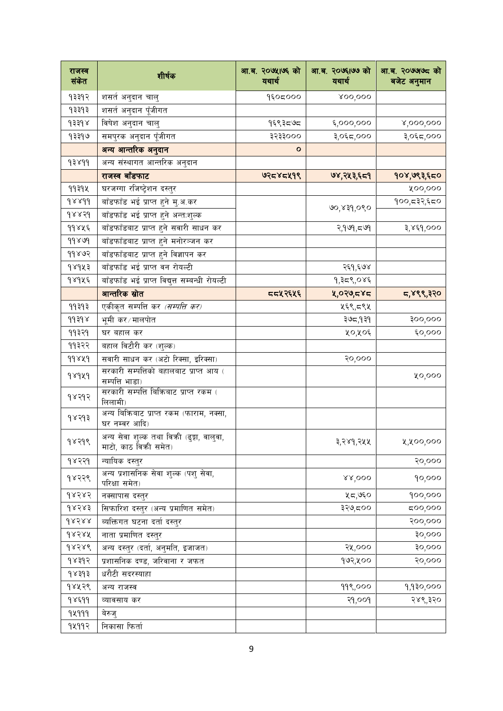| राजस्व<br>संकेत       | शीर्षक                                                            | आ.ब. २०७५।७६ को<br>यथार्थ | आ.ब. २०७६1७७ को<br>यथार्थ | आ.ब. २०७७७८ को<br>बजेट अनुमान |
|-----------------------|-------------------------------------------------------------------|---------------------------|---------------------------|-------------------------------|
| १३३१२                 | शसते अनुदान चालु                                                  | १६०८०००                   | 800,000                   |                               |
| १३३१३                 | <u>शसर्त अनुदान पूँ</u> जीगत                                      |                           |                           |                               |
| $\delta$ १३३१४        | विषेश अनुदान चालु                                                 | १६९३८७८                   | ६,०००,०००                 | x,000,000                     |
| १३३१७                 | समपुरक अनुदान पूँजीगत                                             | ३२३३०००                   | ३,०६८,०००                 | ३,०६८,०००                     |
|                       | अन्य आन्तरिक अनुदान                                               | ο                         |                           |                               |
| 93899                 | अन्य संस्थागत आन्तरिक अनुदान                                      |                           |                           |                               |
|                       | राजस्व बाँडफाट                                                    | ७२८४८५१९                  | ७४,२५३,६८१                | १०४,७९३,६८०                   |
| 99394                 | घरजग्गा रजिष्ट्रेशन दस्तुर                                        |                           |                           | ४००,०००                       |
| $d$ x x dd            | बाँडफाँड भई प्राप्त हुने मु.अ.कर                                  |                           |                           | १००,८३२,६८०                   |
| $d$ <sub>x</sub> x sd | बाँडफाँड भई प्राप्त हुने अन्त:शुल्क                               |                           | ७०,४३१,०९०                |                               |
| ११४५६                 | बाँडफाँडबाट प्राप्त हुने सवारी साधन कर                            |                           | २,१७१,८७१                 | ३,४६१,०००                     |
| 99899                 | बाँडफाँडबाट प्राप्त हुने मनोरञ्जन कर                              |                           |                           |                               |
| ११४७२                 | बाँडफाँडबाट प्राप्त हुने विज्ञापन कर                              |                           |                           |                               |
| १४१५३                 | बाँडफाँड भई प्राप्त वन रोयल्टी                                    |                           | २६१,६७४                   |                               |
| १४१५६                 | बाँडफाँड भई प्राप्त विद्युत्त सम्बन्धी रोयल्टी                    |                           | १,३८९,०४६                 |                               |
|                       | आन्तरिक स्रोत                                                     | <b>ददप्र२६५६</b>          | ५,०२७,८४८                 | ८,४९९,३२०                     |
| 99393                 | एकीकृत सम्पत्ति कर <i>(सम्पत्ति कर)</i>                           |                           | ५६९,८९५                   |                               |
| 99398                 | भूमी कर∕मालपोत                                                    |                           | ३७८,१३१                   | 900,000                       |
| ११३२१                 | घर बहाल कर                                                        |                           | ५०,५०६                    | $\epsilon$ o,ooo              |
| ११३२२                 | बहाल विटौरी कर (शुल्क)                                            |                           |                           |                               |
| 99829                 | सवारी साधन कर (अटो रिक्सा, इरिक्सा)                               |                           | २०,०००                    |                               |
| 98949                 | सरकारी सम्पत्तिको बहालबाट प्राप्त आय (<br>सम्पत्ति भाडा)          |                           |                           | ५०,०००                        |
| 98893                 | सरकारी सम्पत्ति बिक्रिबाट प्राप्त रकम (<br>लिलामी)                |                           |                           |                               |
| १४२१३                 | अन्य बिक्रिबाट प्राप्त रकम (फाराम, नक्सा,<br>घर नम्बर आदि)        |                           |                           |                               |
| १४२१९                 | अन्य सेवा शुल्क तथा विकी (ढुङ्गा, वालुवा,<br>माटो, काठ विकी समेत) |                           | ३,२४१,२५५                 | ५,५००,०००                     |
| १४२२१                 | न्यायिक दस्तुर                                                    |                           |                           | २०,०००                        |
| १४२२९                 | अन्य प्रशासनिक सेवा शुल्क (पशु सेवा,<br>परिक्षा समेत)             |                           | 88,000                    | 90,000                        |
| $d\times d\times d$   | नक्सापास दस्तुर                                                   |                           | ५८,७६०                    | 900,000                       |
| $d\times d\times d$   | सिफारिश दस्तुर (अन्य प्रमाणित समेत)                               |                           | ३२७,८००                   | ८००,०००                       |
| dX588                 | ब्यक्तिगत घटना दर्ता दस्तुर                                       |                           |                           | २००,०००                       |
| 98388                 | नाता प्रमाणित दस्तुर                                              |                           |                           | <b>so</b> 'ooo                |
| 98789                 | अन्य दस्तुर (दर्ता, अनुमति, इजाजत)                                |                           | २५,०००                    | so`oo                         |
| १४३१२                 | प्रशासनिक दण्ड, जरिवाना र जफत                                     |                           | १७२,५००                   | २०,०००                        |
| १४३१३                 | धरौटी सदरस्याहा                                                   |                           |                           |                               |
| १४५२९                 | अन्य राजस्व                                                       |                           | 999,000                   | १,१३०,०००                     |
| 98599                 | व्यावसाय कर                                                       |                           | २१,००१                    | २४९,३२०                       |
| 92999                 | बेरुज्                                                            |                           |                           |                               |
| १५११२                 | निकासा फिर्ता                                                     |                           |                           |                               |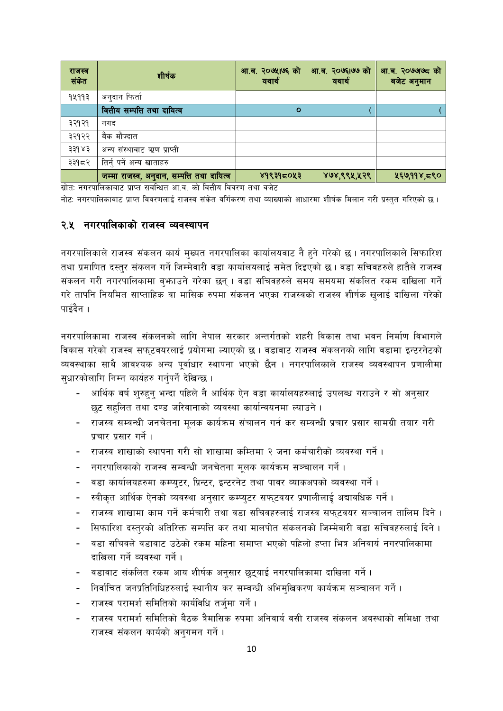| राजस्व<br>संकेत | शीर्षक                                     | आ.ब. २०७५।७६ को<br>यथार्थ | आ.ब. २०७६।७७ को<br>यथार्थ | आ.ब. २०७७७८ को<br>बजेट अनुमान |
|-----------------|--------------------------------------------|---------------------------|---------------------------|-------------------------------|
| १५११३           | अनुदान फिर्ता                              |                           |                           |                               |
|                 | वित्तीय सम्पत्ति तथा दायित्व               | $\circ$                   |                           |                               |
| ३२१२१           | नगद                                        |                           |                           |                               |
| ३२१२२           | बैंक मौज्दात                               |                           |                           |                               |
| ३३१४३           | अन्य संस्थावाट ऋण प्राप्ती                 |                           |                           |                               |
| ३३१८२           | तिर्नु पर्ने अन्य खाताहरु                  |                           |                           |                               |
|                 | जम्मा राजस्व, अनुदान, सम्पत्ति तथा दायित्व | ४१९३१८०५३                 | ४७४,९९५,५२९               | ५६७,११४,८९०                   |

स्रोत: नगरपालिकाबाट प्राप्त सवन्धित आ.व. को वित्तीय विवरण तथा वजेट नोट: नगरपालिकाबाट प्राप्त विवरणलाई राजस्व संकेत वर्गिकरण तथा व्याख्याको आधारमा शीर्षक मिलान गरी प्रस्तत गरिएको छ।

#### २.५ नगरपालिकाको राजस्व व्यवस्थापन

नगरपालिकाले राजस्व संकलन कार्य मुख्यत नगरपालिका कार्यालयवाट नै हुने गरेको छ। नगरपालिकाले सिफारिश तथा प्रमाणित दस्तुर संकलन गर्ने जिम्मेवारी वडा कार्यालयलाई समेत दिइएको छ । वडा सचिवहरुले हातैले राजस्व संकलन गरी नगरपालिकामा बुभाउने गरेका छन् । वडा सचिवहरुले समय समयमा संकलित रकम दाखिला गर्ने गरे तापनि नियमित साप्ताहिक वा मासिक रुपमा संकलन भएका राजस्वको राजस्व शीर्षक खुलाई दाखिला गरेको पाईदैन ।

नगरपालिकामा राजस्व संकलनको लागि नेपाल सरकार अन्तर्गतको शहरी विकास तथा भवन निर्माण विभागले विकास गरेको राजस्व सफुटवयरलाई प्रयोगमा ल्याएको छ । वडावाट राजस्व संकलनको लागि वडामा इन्टरनेटको व्यवस्थाका साथै आवश्यक अन्य पूर्वाधार स्थापना भएको छैन । नगरपालिकाले राजस्व व्यवस्थापन प्रणालीमा सुधारकोलागि निम्न कार्यहरु गर्नुपर्ने देखिन्छ।

- आर्थिक बर्ष शुरुहुन् भन्दा पहिले नै आर्थिक ऐन वडा कार्यालयहरुलाई उपलब्ध गराउने र सो अनुसार छूट सहलित तथा दण्ड जरिवानाको व्यवस्था कार्यान्वयनमा ल्याउने ।
- राजस्व सम्वन्धी जनचेतना मुलक कार्यक्रम संचालन गर्न कर सम्वन्धी प्रचार प्रसार सामग्री तयार गरी प्रचार प्रसार गर्ने ।
- राजस्व शाखाको स्थापना गरी सो शाखामा कम्तिमा २ जना कर्मचारीको व्यवस्था गर्ने ।
- नगरपालिकाको राजस्व सम्बन्धी जनचेतना मुलक कार्यक्रम सञ्चालन गर्ने ।
- वडा कार्यालयहरुमा कम्प्युटर, प्रिन्टर, इन्टरनेट तथा पावर व्याकअपको व्यवस्था गर्ने।
- स्वीकृत आर्थिक ऐनको व्यवस्था अनुसार कम्प्युटर सफुटवयर प्रणालीलाई अद्यावधिक गर्ने ।
- राजस्व शाखामा काम गर्ने कर्मचारी तथा वडा सचिवहरुलाई राजस्व सफटवयर सञ्चालन तालिम दिने ।
- सिफारिश दस्तुरको अतिरिक्त सम्पत्ति कर तथा मालपोत संकलनको जिम्मेवारी वडा सचिवहरुलाई दिने।  $\sim$
- वडा सचिवले वडावाट उठेको रकम महिना समाप्त भएको पहिलो हप्ता भित्र अनिवार्य नगरपालिकामा दाखिला गर्ने व्यवस्था गर्ने ।
- वडावाट संकलित रकम आय शीर्षक अनुसार छुट्याई नगरपालिकामा दाखिला गर्ने ।
- निर्वाचित जनप्रतिनिधिहरुलाई स्थानीय कर सम्वन्धी अभिमुखिकरण कार्यक्रम सञ्चालन गर्ने ।
- राजस्व परामर्श समितिको कार्यविधि तर्जुमा गर्ने।
- राजस्व परामर्श समितिको बैठक त्रैमासिक रुपमा अनिवार्य वसी राजस्व संकलन अवस्थाको समिक्षा तथा राजस्व संकलन कार्यको अनुगमन गर्ने।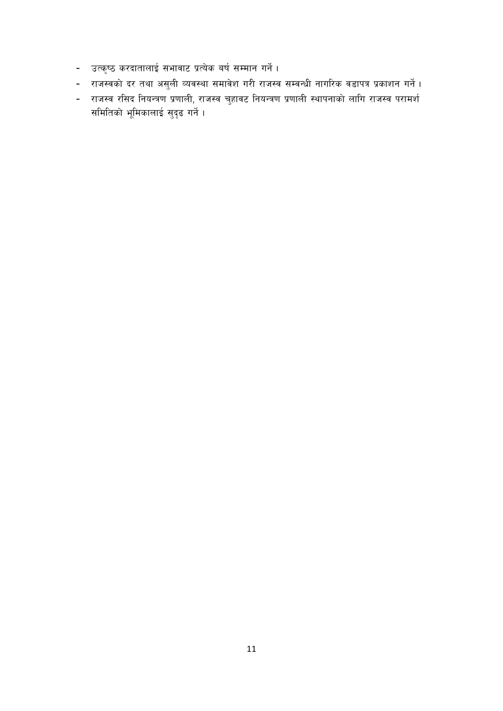- उत्कृष्ठ करदातालाई सभावाट प्रत्येक बर्ष सम्मान गर्ने।
- राजस्वको दर तथा असुली व्यवस्था समावेश गरी राजस्व सम्वन्धी नागरिक वडापत्र प्रकाशन गर्ने ।
- राजस्व रसिद नियन्त्रण प्रणाली, राजस्व चुहावट नियन्त्रण प्रणाली स्थापनाको लागि राजस्व परामर्श समितिको भूमिकालाई सुदृढ गर्ने ।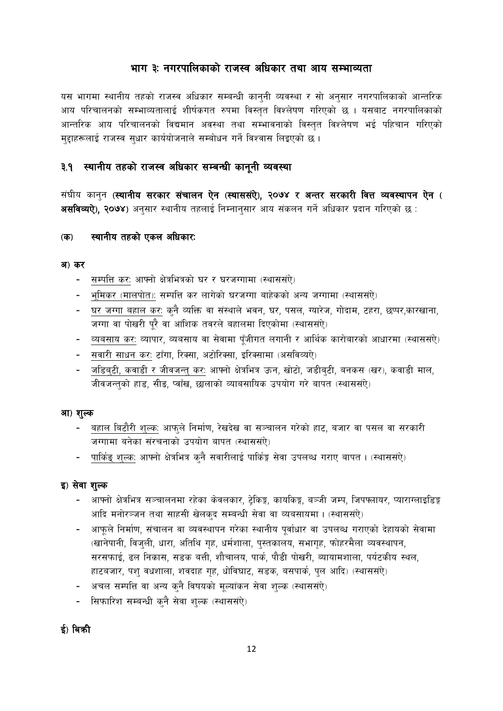### भाग ३: नगरपालिकाको राजस्व अधिकार तथा आय सम्भाव्यता

यस भागमा स्थानीय तहको राजस्व अधिकार सम्बन्धी कानुनी व्यवस्था र सो अनुसार नगरपालिकाको आन्तरिक आय परिचालनको सम्भाव्यतालाई शीर्षकगत रुपमा विस्तत विश्लेषण गरिएको छ । यसबाट नगरपालिकाको आन्तरिक आय परिचालनको विद्यमान अवस्था तथा सम्भावनाको विस्तुत विश्लेषण भई पहिचान गरिएको मुद्दाहरूलाई राजस्व सुधार कार्ययोजनाले सम्बोधन गर्ने विश्वास लिइएको छ।

### ३.१ स्थानीय तहको राजस्व अधिकार सम्बन्धी कानूनी व्यवस्था

संघीय कानुन (स्थानीय सरकार संचालन ऐन (स्थाससंऐ), २०७४ र अन्तर सरकारी वित्त व्यवस्थापन ऐन ( असविव्यऐ), २०७४) अनुसार स्थानीय तहलाई निम्नानुसार आय संकलन गर्ने अधिकार प्रदान गरिएको छ :

#### स्थानीय तहको एकल अधिकार:  $($ क)

#### अ) कर

- सम्पत्ति कर: आफ्नो क्षेत्रभित्रको घर र घरजग्गामा (स्थाससंऐ)  $\sim 100$
- भूमिकर (मालपोत): सम्पत्ति कर लागेको घरजग्गा बाहेकको अन्य जग्गामा (स्थाससंऐ)
- घर जग्गा बहाल कर: कनै व्यक्ति वा संस्थाले भवन, घर, पसल, ग्यारेज, गोदाम, टहरा, छप्पर,कारखाना,  $\blacksquare$ जग्गा वा पोखरी पूरै वा आंशिक तवरले बहालमा दिएकोमा (स्थाससंऐ)
- व्यबसाय कर: व्यापार, व्यबसाय वा सेवामा पुँजीगत लगानी र आर्थिक कारोबारको आधारमा (स्थाससंऐ)
- सवारी साधन कर: टाँगा, रिक्सा, अटोरिक्सा, इरिक्सामा (असविव्यऐ)
- जडिब्टी, कवाडी र जीवजन्तु कर: आफ्नो क्षेत्रभित्र ऊन, खोटो, जडीब्टी, बनकस (खर), कवाडी माल, जीवजन्तको हाड, सीड, प्वाँख, छालाको व्याबसायिक उपयोग गरे बापत (स्थाससंऐ)

#### आ) शुल्क

- बहाल बिटौरी शुल्क: आफुले निर्माण, रेखदेख वा सञ्चालन गरेको हाट, बजार वा पसल वा सरकारी जग्गामा बनेका संरचनाको उपयोग बापत (स्थाससंऐ)
- पार्किङ् शुल्कः आफ्नो क्षेत्रभित्र कुनै सवारीलाई पार्किङ्ग सेवा उपलब्ध गराए बापत । (स्थाससंऐ)

#### इ) सेवा शुल्क

- आफ्नो क्षेत्रभित्र सञ्चालनमा रहेका केवलकार, ट्रेकिङ्ग, कायकिङ्ग, बञ्जी जम्प, जिपफ्लायर, प्याराग्लाइडिङ्ग आदि मनोरञ्जन तथा साहसी खेलकुद सम्बन्धी सेवा वा व्यबसायमा। (स्थाससऐ)
- आफूले निर्माण, संचालन वा व्यवस्थापन गरेका स्थानीय पूर्वाधार वा उपलब्ध गराएको देहायको सेवामा (खानेपानी, विजुली, धारा, अतिथि गृह, धर्मशाला, पुस्तकालय, सभागृह, फोहरमैला व्यवस्थापन, सरसफाई, ढल निकास, सडक बत्ती, शौचालय, पार्क, पौडी पोखरी, ब्यायामशाला, पर्यटकीय स्थल, हाटबजार, पशु वधशाला, शवदाह गृह, धोविघाट, सडक, बसपार्क, पुल आदि) (स्थाससंऐ)
- अचल सम्पत्ति वा अन्य कुनै विषयको मुल्यांकन सेवा शुल्क (स्थाससंऐ)
- सिफारिश सम्बन्धी कुनै सेवा शुल्क (स्थाससंऐ)

#### ई) बिकी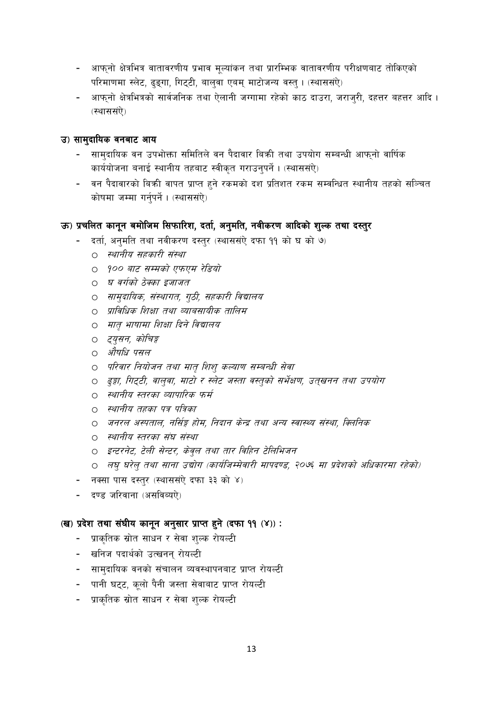- आफ्नो क्षेत्रभित्र वातावरणीय प्रभाव मूल्यांकन तथा प्रारम्भिक वातावरणीय परीक्षणबाट तोकिएको परिमाणमा स्लेट, ढुङ्गा, गिट्टी, बाल् वा एबम् माटोजन्य वस्त् । (स्थाससऐ)
- आफुनो क्षेत्रभित्रको सार्वजनिक तथा ऐलानी जग्गामा रहेको काठ दाउरा, जराजुरी, दहत्तर बहत्तर आदि ।  $\sim 10$ (स्थाससंऐ)

#### उ) सामुदायिक वनबाट आय

- सामुदायिक वन उपभोक्ता समितिले वन पैदावार बिक्री तथा उपयोग सम्बन्धी आफुनो वार्षिक कार्ययोजना बनाई स्थानीय तहबाट स्वीकृत गराउनुपर्ने । (स्थाससंऐ)
- वन पैदावारको बिकी वापत प्राप्त हुने रकमको दश प्रतिशत रकम सम्वन्धित स्थानीय तहको सञ्चित कोषमा जम्मा गर्नुपर्ने । (स्थाससंऐ)

#### ऊ) प्रचलित कानून बमोजिम सिफारिश, दर्ता, अनुमति, नवीकरण आदिको शुल्क तथा दस्तुर

- दर्ता, अनुमति तथा नवीकरण दस्तुर (स्थाससंऐ दफा 99 को घ को ७)
	- 0 स्थानीय सहकारी संस्था
	- 0 900 बाट सम्मको एफएम रेडियो
	- 0 घ वर्गको ठेक्का इजाजत
	- O साम्**दायिक, संस्थागत, ग्ठी, सहकारी विद्या**लय
	- 0 प्राविधिक शिक्षा तथा व्याबसायीक तालिम
	- O मातृ भाषामा शिक्षा दिने विद्यालय
	- ० *दयुसन, कोचिङ्ग*
	- o *औषधि पसल*
	- 0 परिवार नियोजन तथा मात शिश कल्याण सम्बन्धी सेवा
	- 0 हङ्गा, गिट्टी, वाल्वा, माटो र स्लेट जस्ता वस्त्को सर्भेक्षण, उत्खनन तथा उपयोग
	- 0 स्थानीय स्तरका व्यापारिक फर्म
	- 0 स्थानीय तहका पत्र पत्रिका
	- 0 जनरल अस्पताल, नर्सिङ्ग होम, निदान केन्द्र तथा अन्य स्वास्थ्य संस्था, क्लिनिक
	- 0 स्थानीय स्तरका संघ संस्था
	- O इन्टरनेट, टेली सेन्टर, केव्*ल तथा तार विहिन टेलिभिजन*
	- 0 लघु घरेलु तथा साना उद्योग (कार्यजिम्मेवारी मापदण्ड, २०७६ मा प्रदेशको अधिकारमा रहेको)
- नक्सा पास दस्तर (स्थाससंऐ दफा ३३ को ४)
- दण्ड जरिवाना (असविब्युऐ)

#### (ख) प्रदेश तथा संघीय कानून अनुसार प्राप्त हुने (दफा ११ (४)):

- प्राकृतिक स्रोत साधन र सेवा शुल्क रोयल्टी
- खनिज पदार्थको उत्खनन रोयल्टी
- सामुदायिक वनको संचालन व्यवस्थापनबाट प्राप्त रोयल्टी
- पानी घट्ट, कूलो पैनी जस्ता सेवाबाट प्राप्त रोयल्टी
- प्राकृतिक स्रोत साधन र सेवा शल्क रोयल्टी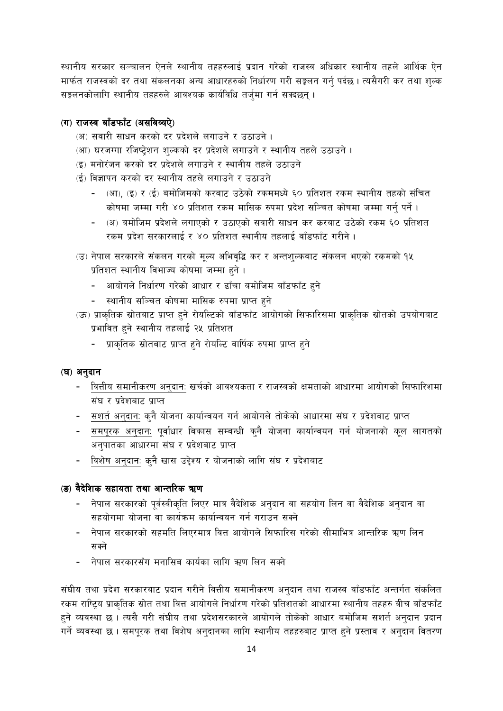स्थानीय सरकार सञ्चालन ऐनले स्थानीय तहहरुलाई प्रदान गरेको राजस्व अधिकार स्थानीय तहले आर्थिक ऐन मार्फत राजस्वको दर तथा संकलनका अन्य आधारहरुको निर्धारण गरी सङ्कलन गर्न पर्दछ । त्यसैगरी कर तथा शल्क सङ्कलनकोलागि स्थानीय तहहरुले आवश्यक कार्यविधि तर्जुमा गर्न सक्दछन् ।

#### (ग) राजस्व बाँडफाँट (असविव्यऐ)

- (अ) सवारी साधन करको दर प्रदेशले लगाउने र उठाउने ।
- (आ) घरजग्गा रजिष्ट्रेशन शुल्कको दर प्रदेशले लगाउने र स्थानीय तहले उठाउने ।
- (इ) मनोरंजन करको दर प्रदेशले लगाउने र स्थानीय तहले उठाउने
- (ई) विज्ञापन करको दर स्थानीय तहले लगाउने र उठाउने
	- (आ), (इ) र (ई) बमोजिमको करबाट उठेको रकममध्ये ६० प्रतिशत रकम स्थानीय तहको संचित कोषमा जम्मा गरी ४० प्रतिशत रकम मासिक रुपमा प्रदेश सञ्चित कोषमा जम्मा गर्नु पर्ने ।
	- (अ) बमोजिम प्रदेशले लगाएको र उठाएको सवारी साधन कर करबाट उठेको रकम ६० प्रतिशत रकम प्रदेश सरकारलाई र ४० प्रतिशत स्थानीय तहलाई वाँडफाँट गरीने ।
- (उ) नेपाल सरकारले संकलन गरको मूल्य अभिवृद्धि कर र अन्तशुल्कबाट संकलन भएको रकमको १५ प्रतिशत स्थानीय विभाज्य कोषमा जम्मा हुने।
	- आयोगले निर्धारण गरेको आधार र ढाँचा बमोजिम बाँडफाँट हुने
	- स्थानीय सञ्चित कोषमा मासिक रुपमा प्राप्त हुने
- (ऊ) प्राकृतिक स्रोतबाट प्राप्त हुने रोयल्टिको बाँडफाँट आयोगको सिफारिसमा प्राकृतिक स्रोतको उपयोगबाट प्रभावित हुने स्थानीय तहलाई २५ प्रतिशत
	- प्राकृतिक स्रोतबाट प्राप्त हुने रोयल्टि बार्षिक रुपमा प्राप्त हुने

#### (घ) अनुदान

- वित्तीय समानीकरण अनुदान: खर्चको आवश्यकता र राजस्वको क्षमताको आधारमा आयोगको सिफारिशमा संघ र प्रदेशबाट प्राप्त
- सशर्त अनुदान: कुनै योजना कार्यान्वयन गर्न आयोगले तोकेको आधारमा संघ र प्रदेशबाट प्राप्त
- <u>- समपूरक अनुदानः</u> पूर्वाधार बिकास सम्बन्धी कुनै योजना कार्यान्वयन गर्न योजनाको कूल लागतको अनुपातका आधारमा संघ र प्रदेशबाट प्राप्त
- विशेष अनुदान: क्नै खास उद्देश्य र योजनाको लागि संघ र प्रदेशबाट

#### (ङ) वैदेशिक सहायता तथा आन्तरिक ऋण

- नेपाल सरकारको पर्वस्वीकृति लिएर मात्र वैदेशिक अनुदान वा सहयोग लिन वा वैदेशिक अनुदान वा सहयोगमा योजना वा कार्यक्रम कार्यान्वयन गर्न गराउन सक्ने
- लेपाल सरकारको सहमति लिएरमात्र वित्त आयोगले सिफारिस गरेको सीमाभित्र आन्तरिक ऋण लिन सक्ने
- लेपाल सरकारसँग मनासिब कार्यका लागि ऋण लिन सक्ने

संघीय तथा प्रदेश सरकारबाट प्रदान गरीने वित्तीय समानीकरण अनुदान तथा राजस्व वाँडफाँट अन्तर्गत संकलित रकम राष्ट्रिय प्राकृतिक स्रोत तथा वित्त आयोगले निर्धारण गरेको प्रतिशतको आधारमा स्थानीय तहहरु बीच बाँडफाँट हुने व्यवस्था छ । त्यसै गरी संघीय तथा प्रदेशसरकारले आयोगले तोकेको आधार बमोजिम सशर्त अनुदान प्रदान गर्ने व्यवस्था छ । समपूरक तथा विशेष अनुदानका लागि स्थानीय तहहरुबाट प्राप्त हुने प्रस्ताव र अनुदान वितरण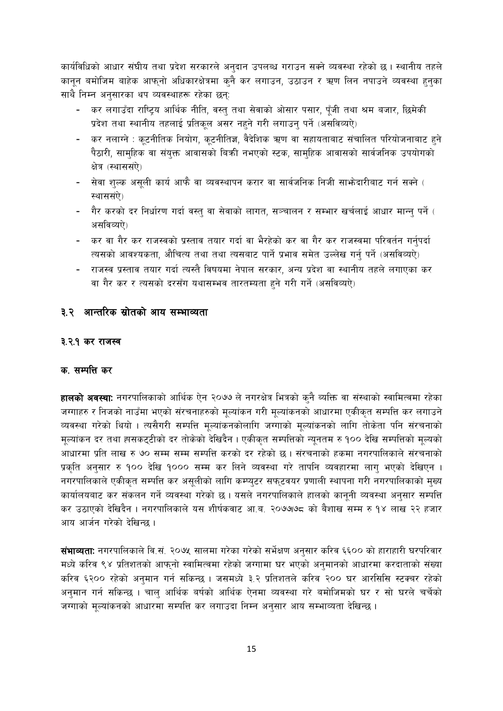कार्यविधिको आधार संघीय तथा प्रदेश सरकारले अनुदान उपलब्ध गराउन सक्ने व्यवस्था रहेको छ। स्थानीय तहले कानुन बमोजिम बाहेक आफुनो अधिकारक्षेत्रमा कुनै कर लगाउन, उठाउन र ऋण लिन नपाउने व्यवस्था हुनुका साथै निम्न अनुसारका थप व्यवस्थाहरू रहेका छन्:

- कर लगाउँदा राष्ट्रिय आर्थिक नीति, वस्तु तथा सेवाको ओसार पसार, पुँजी तथा श्रम बजार, छिमेकी प्रदेश तथा स्थानीय तहलाई प्रतिकूल असर नहने गरी लगाउनु पर्ने (असविव्यऐ)
- कर नलाग्ने : कूटनीतिक नियोग, कूटनीतिज्ञ, वैदेशिक ऋण वा सहायताबाट संचालित परियोजनाबाट हुने पैठारी, सामुहिक वा संयुक्त आवासको बिकी नभएको स्टक, सामुहिक आवासको सार्वजनिक उपयोगको क्षेत्र (स्थाससंऐ)
- सेवा शुल्क असुली कार्य आफै वा व्यवस्थापन करार वा सार्वजनिक निजी साभ्रेदारीबाट गर्न सक्ने ( स्थाससंऐ)
- गैर करको दर निर्धारण गर्दा वस्तु वा सेवाको लागत, सञ्चालन र सम्भार खर्चलाई आधार मान्नु पर्ने ( असविव्यऐ)
- कर वा गैर कर राजस्वको प्रस्ताव तयार गर्दा वा भैरहेको कर वा गैर कर राजस्वमा परिवर्तन गर्नुपर्दा त्यसको आवश्यकता, औचित्य तथा तथा त्यसबाट पार्ने प्रभाव समेत उल्लेख गर्नु पर्ने (असविव्यऐ)
- ) राजस्व प्रस्ताव तयार गर्दा त्यस्तै विषयमा नेपाल सरकार, अन्य प्रदेश वा स्थानीय तहले लगाएका कर वा गैर कर र त्यसको दरसँग यथासम्भव तारतम्यता हुने गरी गर्ने (असविव्यऐ)

#### ३.२ आन्तरिक स्रोतको आय सम्भाव्यता

#### ३.२.१ कर राजस्व

#### क. सम्पत्ति कर

**हालको अवस्थाः** नगरपालिकाको आर्थिक ऐन २०७७ ले नगरक्षेत्र भित्रको क्नै ब्यक्ति वा संस्थाको स्वामित्वमा रहेका जग्गाहरु र निजको नाउँमा भएको संरचनाहरुको मूल्यांकन गरी मूल्यांकनको आधारमा एकीकृत सम्पत्ति कर लगाउने व्यवस्था गरेको थियो । त्यसैगरी सम्पत्ति मूल्यांकनकोलागि जग्गाको मूल्यांकनको लागि तोकेता पनि संरचनाको मूल्यांकन दर तथा ह्मसकट्टीको दर तोकेको देखिदैन । एकीकृत सम्पत्तिको न्यूनतम रु १०० देखि सम्पत्तिको मूल्यको आधारमा प्रति लाख रु ७० सम्म सम्म सम्पत्ति करको दर रहेको छ । संरचनाको हकमा नगरपालिकाले संरचनाको प्रकृति अनुसार रु १०० देखि १००० सम्म कर लिने व्यवस्था गरे तापनि व्यवहारमा लाग भएको देखिएन । नगरपालिकाले एकीकृत सम्पत्ति कर असूलीको लागि कम्प्युटर सफुटवयर प्रणाली स्थापना गरी नगरपालिकाको मुख्य कार्यालयबाट कर संकलन गर्ने व्यवस्था गरेको छ । यसले नगरपालिकाले हालको कानुनी व्यवस्था अनुसार सम्पत्ति कर उठाएको देखिदैन । नगरपालिकाले यस शीर्षकवाट आ.ब. २०७७७८ को बैशाख सम्म रु १४ लाख २२ हजार आय आर्जन गरेको देखिन्छ ।

**संभाव्यताः** नगरपालिकाले वि.सं. २०७५ सालमा गरेका गरेको सर्भेक्षण अनुसार करिव ६६०० को हाराहारी घरपरिवार मध्ये करिव ९४ प्रतिशतको आफुनो स्वामित्वमा रहेको जग्गामा घर भएको अनुमानको आधारमा करदाताको संख्या करिव ६२०० रहेको अनमान गर्न सकिन्छ । जसमध्ये ३.२ प्रतिशतले करिव २०० घर आरसिसि स्टक्चर रहेको अनुमान गर्न सकिन्छ । चालु आर्थिक बर्षको आर्थिक ऐनमा व्यवस्था गरे बमोजिमको घर र सो घरले चर्चेको जग्गाको मल्यांकनको आधारमा सम्पत्ति कर लगाउदा निम्न अनसार आय सम्भाव्यता देखिन्छ।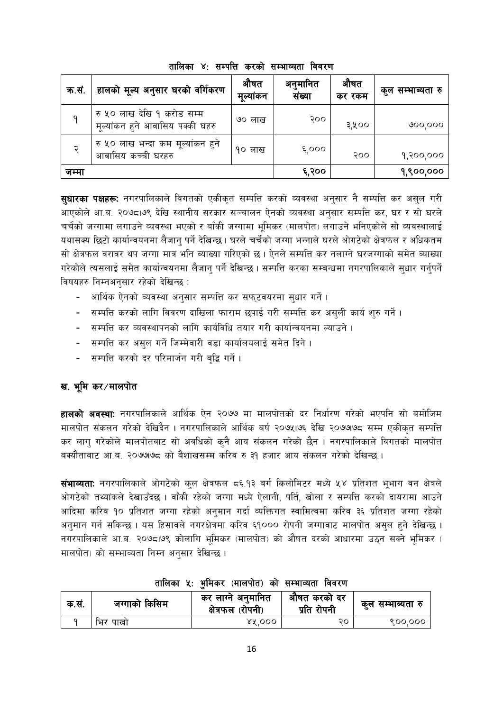| क.सं. | हालको मूल्य अनुसार घरको वर्गिकरण                               | औषत<br>मूल्यांकन | अनुमानित<br>संख्या | औषत<br>कर रकम | कुल सम्भाब्यता रु |
|-------|----------------------------------------------------------------|------------------|--------------------|---------------|-------------------|
|       | रु ५० लाख देखि १ करोड सम्म<br>मूल्यांकन हुने आवासिय पक्की घहरु | ७० लाख           | २००                | ३,५००         | <u>(၁၀၀,၀၀၀</u>   |
|       | रु ५० लाख भन्दा कम मूल्यांकन हुने<br>आवासिय कच्ची घरहरु        | १० लाख           | 5,000              | २००           | १,२००,०००         |
| जम्मा |                                                                |                  | ६,२००              |               | १,९००,०००         |

तालिका ४: सम्पत्ति करको सम्भाव्यता विवरण

**सधारका पक्षहरूः** नगरपालिकाले विगतको एकीकत सम्पत्ति करको व्यवस्था अनसार नै सम्पत्ति कर असल गरी आएकोले आ.ब. २०७८ा७९ देखि स्थानीय सरकार सञ्चालन ऐनको व्यवस्था अनुसार सम्पत्ति कर, घर र सो घरले चर्चेको जग्गामा लगाउने व्यवस्था भएको र बाँकी जग्गामा भमिकर (मालपोत) लगाउने भनिएकोले सो व्यवस्थालाई यथासक्य छिटो कार्यान्वयनमा लैजान् पर्ने देखिन्छ । घरले चर्चेको जग्गा भन्नाले घरले ओगटेको क्षेत्रफल र अधिकतम सो क्षेत्रफल वरावर थप जग्गा मात्र भनि ब्याख्या गरिएको छ। ऐनले सम्पत्ति कर नलाग्ने घरजग्गाको समेत ब्याख्या गरेकोले त्यसलाई समेत कार्यान्वयनमा लैजान् पर्ने देखिन्छ। सम्पत्ति करका सम्बन्धमा नगरपालिकाले सुधार गर्नुपर्ने विषयहरु निम्नअनुसार रहेको देखिन्छ:

- आर्थिक ऐनको व्यवस्था अनुसार सम्पत्ति कर सफुटवयरमा सुधार गर्ने ।
- सम्पत्ति करको लागि विवरण दाखिला फाराम छपाई गरी सम्पत्ति कर असली कार्य शरु गर्ने।
- सम्पत्ति कर व्यवस्थापनको लागि कार्यविधि तयार गरी कार्यान्वयनमा ल्याउने।
- सम्पत्ति कर असुल गर्ने जिम्मेवारी वडा कार्यालयलाई समेत दिने ।
- सम्पत्ति करको दर परिमार्जन गरी बद्धि गर्ने।

#### ख. भूमि कर∕मालपोत

**हालको अवस्था:** नगरपालिकाले आर्थिक ऐन २०७७ मा मालपोतको दर निर्धारण गरेको भएपनि सो बमोजिम मालपोत संकलन गरेको देखिदैन । नगरपालिकाले आर्थिक बर्ष २०७५।७६ देखि २०७७।७८ सम्म एकीकृत सम्पत्ति कर लाग गरेकोले मालपोतवाट सो अवधिको कनै आय संकलन गरेको छैन । नगरपालिकाले विगतको मालपोत बक्यौतावाट आ.ब. २०७७७८ को बैशाखसम्म करिव रु ३१ हजार आय संकलन गरेको देखिन्छ ।

**संभाव्यताः** नगरपालिकाले ओगटेको कुल क्षेत्रफल ८६.१३ बर्ग किलोमिटर मध्ये ५४ प्रतिशत भूभाग वन क्षेत्रले ओगटेको तथ्यांकले देखाउँदछ । वाँकी रहेको जग्गा मध्ये ऐलानी, पर्ति, खोला र सम्पत्ति करको दायरामा आउने आदिमा करिव १० प्रतिशत जग्गा रहेको अनुमान गर्दा व्यक्तिगत स्वामित्वमा करिव ३६ प्रतिशत जग्गा रहेको अनुमान गर्न सकिन्छ । यस हिसावले नगरक्षेत्रमा करिव ६१००० रोपनी जग्गावाट मालपोत असल हुने देखिन्छ । नगरपालिकाले आ.ब. २०७८,७९ कोलागि भूमिकर (मालपोत) को औषत दरको आधारमा उठ्न सक्ने भूमिकर ( मालपोत) को सम्भाव्यता निम्न अनुसार देखिन्छ।

| क.सं. | जग्गाको किसिम | कर लाग्ने अनुमानित<br>क्षेत्रफल<br>(रोपनी) | औषत करको दर<br>प्रति रोपनी | कुल सम्भाब्यता रु |
|-------|---------------|--------------------------------------------|----------------------------|-------------------|
|       | पाखो<br>भिर   | 88.000                                     | २०                         | ९००,०००           |

#### तालिका ५: भमिकर (मालपोत) को सम्भाव्यता विवरण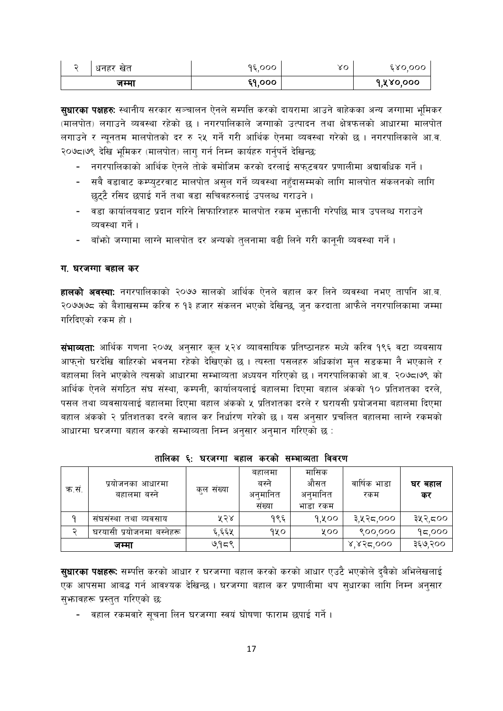| ∽ | धनहर खत | १६,००० | ४० | 680,000   |
|---|---------|--------|----|-----------|
|   | जम्मा   | ६१,००० |    | १,५४०,००० |

**सुधारका पक्षहरुः** स्थानीय सरकार सञ्चालन ऐनले सम्पत्ति करको दायरामा आउने वाहेकका अन्य जग्गामा भूमिकर (मालपोत) लगाउने व्यवस्था रहेको छ । नगरपालिकाले जग्गाको उत्पादन तथा क्षेत्रफलको आधारमा मालपोत लगाउने र न्यूनतम मालपोतको दर रु २५ गर्ने गरी आर्थिक ऐनमा व्यवस्था गरेको छ । नगरपालिकाले आ.व. २०७८1७९ देखि भूमिकर (मालपोत) लागु गर्न निम्न कार्यहरु गर्नुपर्ने देखिन्छ:

- नगरपालिकाको आर्थिक ऐनले तोके वमोजिम करको दरलाई सफुटवयर प्रणालीमा अद्यावधिक गर्ने ।
- सबै वडावाट कम्प्युटरवाट मालपोत असुल गर्ने व्यवस्था नहुँदासम्मको लागि मालपोत संकलनको लागि छुट्टै रसिद छपाई गर्ने तथा वडा सचिवहरुलाई उपलब्ध गराउने।
- वडा कार्यालयवाट प्रदान गरिने सिफारिशहरु मालपोत रकम भुक्तानी गरेपछि मात्र उपलब्ध गराउने व्यवस्था गर्ने ।
- बाँफो जग्गामा लाग्ने मालपोत दर अन्यको तुलनामा बढी लिने गरी कानुनी व्यवस्था गर्ने ।

#### ग. घरजग्गा बहाल कर

हालको अवस्थाः नगरपालिकाको २०७७ सालको आर्थिक ऐनले वहाल कर लिने व्यवस्था नभए तापनि आ.ब. २०७७७८ को बैशाखसम्म करिव रु १३ हजार संकलन भएको देखिन्छ, जुन करदाता आफैले नगरपालिकामा जम्मा गरिदिएको रकम हो।

**संभाव्यताः** आर्थिक गणना २०७५ अनुसार कूल ५२४ व्याबसायिक प्रतिष्ठानहरु मध्ये करिव १९६ वटा व्यबसाय आफ्नो घरदेखि वाहिरको भवनमा रहेको देखिएको छ । त्यस्ता पसलहरु अधिकांश मुल सडकमा नै भएकाले र बहालमा लिने भएकोले त्यसको आधारमा सम्भाव्यता अध्ययन गरिएको छ। नगरपालिकाको आ.व. २०७८।७९ को आर्थिक ऐनले संगठित संघ संस्था, कम्पनी, कार्यालयलाई बहालमा दिएमा बहाल अंकको १० प्रतिशतका दरले, पसल तथा व्यवसायलाई बहालमा दिएमा बहाल अंकको ५ प्रतिशतका दरले र घरायसी प्रयोजनमा बहालमा दिएमा बहाल अंकको २ प्रतिशतका दरले वहाल कर निर्धारण गरेको छ । यस अनुसार प्रचलित वहालमा लाग्ने रकमको आधारमा घरजग्गा बहाल करको सम्भाव्यता निम्न अनुसार अनुमान गरिएको छ :

| क.स. | प्रयोजनका आधारमा<br>बहालमा बस्ने | कुल संख्या | बहालमा<br>बस्ने<br>अनुमानित<br>संख्या | मासिक<br>औसत<br>अनुमानित<br>भाडा रकम | वार्षिक भाडा<br>रकम | घर बहाल<br>कर |
|------|----------------------------------|------------|---------------------------------------|--------------------------------------|---------------------|---------------|
| a    | संघसंस्था तथा व्यवसाय            | ५२४        | १९६                                   | १,५००                                | ३,५२८,०००           | ३५२,८००       |
|      | घरयासी प्रयोजनमा बस्नहरू         | ६,६६५      | १५०                                   | ४००                                  | ९००,०००             | 95,000        |
|      | जम्मा                            | ७,१८९      |                                       |                                      | 8,852,000           | ३६७,२००       |

तालिका ६: घरजग्गा बहाल करको सम्भाव्यता विवरण

सुधारका पक्षहरू: सम्पत्ति करको आधार र घरजग्गा बहाल करको करको आधार एउटै भएकोले दुबैको अभिलेखलाई एक आपसमा आबद्ध गर्न आवश्यक देखिन्छ । घरजग्गा बहाल कर प्रणालीमा थप सुधारका लागि निम्न अनुसार सुभावहरू प्रस्तुत गरिएको छ:

- वहाल रकमवारे सुचना लिन घरजग्गा स्वयं घोषणा फाराम छपाई गर्ने ।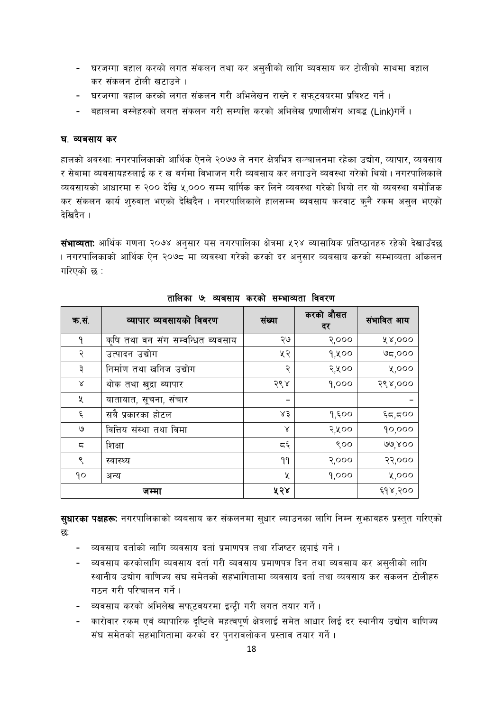- घरजग्गा वहाल करको लगत संकलन तथा कर असुलीको लागि व्यवसाय कर टोलीको साथमा वहाल कर संकलन टोली खटाउने ।
- घरजग्गा वहाल करको लगत संकलन गरी अभिलेखन राख्ने र सफ्टवयरमा प्रविश्ट गर्ने ।
- वहालमा वस्नेहरुको लगत संकलन गरी सम्पत्ति करको अभिलेख प्रणालीसंग आबद्ध (Link)गर्ने ।

#### घ. व्यबसाय कर

हालको अवस्था: नगरपालिकाको आर्थिक ऐनले २०७७ ले नगर क्षेत्रभित्र सञ्चालनमा रहेका उद्योग, व्यापार, व्यबसाय र सेवामा व्यबसायहरुलाई क र ख बर्गमा विभाजन गरी व्यबसाय कर लगाउने व्यवस्था गरेको थियो । नगरपालिकाले व्यबसायको आधारमा रु २०० देखि ५,००० सम्म वार्षिक कर लिने व्यवस्था गरेको थियो तर यो ब्यवस्था बमोजिक कर संकलन कार्य शुरुवात भएको देखिदैन । नगरपालिकाले हालसम्म ब्यवसाय करवाट कुनै रकम असुल भएको देखिदैन ।

**संभाव्यताः** आर्थिक गणना २०७४ अनुसार यस नगरपालिका क्षेत्रमा ५२४ व्यासायिक प्रतिष्ठानहरु रहेको देखाउँदछ । नगरपालिकाको आर्थिक ऐन २०७८ मा व्यवस्था गरेको करको दर अनुसार व्यबसाय करको सम्भाव्यता आँकलन गरिएको छ :

| क.सं.              | व्यापार व्यवसायको विवरण           | संख्या        | करको औसत<br>दर | संभावित आय      |
|--------------------|-----------------------------------|---------------|----------------|-----------------|
| ٩                  | कृषि तथा वन संग सम्वन्धित ब्यवसाय | २७            | २,०००          | ४४,०००          |
| २                  | उत्पादन उद्योग                    | ५२            | 9,000          | <b>ಅ</b> ದ್ರ೦೦೦ |
| ३                  | निर्माण तथा खनिज उद्योग           | २             | २,५००          | ५,०००           |
| Χ                  | थोक तथा खुद्रा ब्यापार            | २९४           | 9,000          | २९४,०००         |
| ५                  | यातायात, सूचना, संचार             | -             |                |                 |
| $\boldsymbol{\xi}$ | सबै प्रकारका होटल                 | ४३            | 9,500          | $\xi$ द,द00     |
| ७                  | वित्तिय संस्था तथा विमा           | γ             | २,५००          | 90,000          |
| ς                  | शिक्षा                            | $\varsigma$ پ | 800            | 99,800          |
| ९                  | स्वास्थ्य                         | ۹۹            | २,०००          | २२,०००          |
| qo                 | अन्य                              | ५             | 9,000          | ५,०००           |
|                    | जम्मा                             | ५२४           |                | ६१४,२००         |

तालिका ७: व्यबसाय करको सम्भाव्यता विवरण

**सुधारका पक्षहरू:** नगरपालिकाको व्यबसाय कर संकलनमा सुधार ल्याउनका लागि निम्न सुभ्रावहरु प्रस्तुत गरिएको छ:

- व्यवसाय दर्ताको लागि व्यवसाय दर्ता प्रमाणपत्र तथा रजिष्टर छपाई गर्ने ।  $\sim 100$
- व्यवसाय करकोलागि व्यवसाय दर्ता गरी व्यवसाय प्रमाणपत्र दिन तथा व्यवसाय कर असुलीको लागि  $\mathbf{r}$ स्थानीय उद्योग वाणिज्य संघ समेतको सहभागितामा व्यवसाय दर्ता तथा व्यवसाय कर संकलन टोलीहरु गठन गरी परिचालन गर्ने ।
- व्यवसाय करको अभिलेख सफुटवयरमा इन्ट्री गरी लगत तयार गर्ने।
- कारोवार रकम एवं व्यापारिक दृष्टिले महत्वपूर्ण क्षेत्रलाई समेत आधार लिई दर स्थानीय उद्योग वाणिज्य संघ समेतको सहभागितामा करको दर पुनरावलोकन प्रस्ताव तयार गर्ने।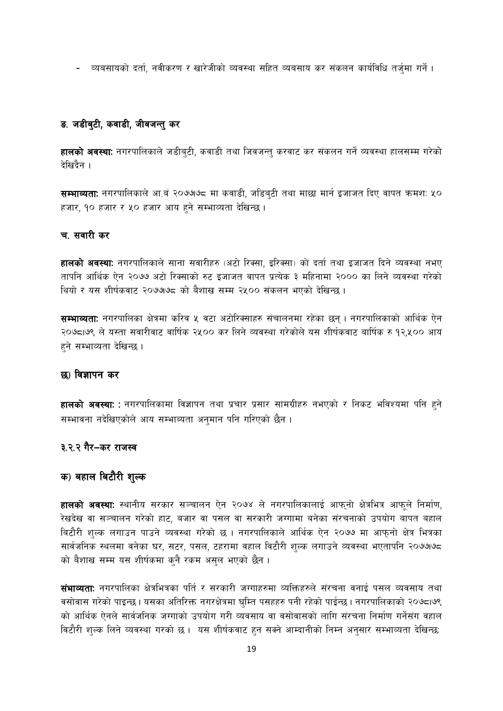- व्यबसायको दर्ता, नवीकरण र खारेजीको व्यवस्था सहित व्यबसाय कर संकलन कार्यविधि तर्जुमा गर्ने ।

#### ड. जडीबुटी, कवाडी, जीवजन्तु कर

**हालको अवस्थाः** नगरपालिकाले जडीबुटी, कवाडी तथा जिवजन्तु करवाट कर संकलन गर्ने व्यवस्था हालसम्म गरेको देखिदैन ।

**सम्भाव्यताः** नगरपालिकाले आ.बं २०७७७८ मा कवाडी, जडिबुटी तथा माछा मार्न इजाजत दिए वापत क्रमशः ५० हजार, १० हजार र ५० हजार आय हुने सम्भाव्यता देखिन्छ।

#### च. सवारी कर

**हालको अवस्थाः** नगरपालिकाले साना सवारीहरु (अटो रिक्सा, इरिक्सा) को दर्ता तथा इजाजत दिने व्यवस्था नभए तापनि आर्थिक ऐन २०७७ अटो रिक्साको रुट इजाजत वापत प्रत्येक ३ महिनामा २००० का लिने व्यवस्था गरेको थियो र यस शीर्षकवाट २०७७७८ को बैशाख सम्म २५०० संकलन भएको देखिन्छ ।

**सम्भाव्यता:** नगरपालिका क्षेत्रमा करिव ५ वटा अटोरिक्साहरु संचालनमा रहेका छन् । नगरपालिकाको आर्थिक ऐन २०७८/७९ ले यस्ता सवारीवाट वार्षिक २५०० कर लिने व्यवस्था गरेकोले यस शीर्षकवाट बार्षिक रु १२,५०० आय हने सम्भाव्यता देखिन्छ।

#### छ) विज्ञापन कर

**हालको अवस्थाः :** नगरपालिकामा विज्ञापन तथा प्रचार प्रसार सामग्रीहरु नभएको र निकट भविश्यमा पनि हुने सम्भावना नदेखिएकोले आय सम्भाब्यता अनुमान पनि गरिएको छैन ।

#### ३.२.२ गैर–कर राजस्व

# क) बहाल बिटौरी शुल्क

**हालको अवस्थाः** स्थानीय सरकार सञ्चालन ऐन २०७४ ले नगरपालिकालाई आफनो क्षेत्रभित्र आफले निर्माण, रेखदेख वा सञ्चालन गरेको हाट, बजार वा पसल वा सरकारी जग्गामा बनेका संरचनाको उपयोग बापत बहाल बिटौरी शुल्क लगाउन पाउने व्यवस्था गरेको छ । नगरपालिकाले आर्थिक ऐन २०७७ मा आफुनो क्षेत्र भित्रका सार्वजनिक स्थलमा वनेका घर, सटर, पसल, टहरामा वहाल विटौरी शुल्क लगाउने व्यवस्था भएतापनि २०७७७८ को बैशाख सम्म यस शीर्षकमा कुनै रकम असुल भएको छैन ।

संभाव्यता: नगरपालिका क्षेत्रभित्रका पर्ति र सरकारी जग्गाहरुमा व्यक्तिहरुले संरचना वनाई पसल व्यवसाय तथा वसोवास गरेको पाइन्छ। यसका अतिरिक्त नगरक्षेत्रमा घुम्ति पसहहरु पनी रहेको पाईन्छ। नगरपालिकाको २०७८।७९ को आर्थिक ऐनले सार्वजनिक जग्गाको उपयोग गरी व्यवसाय वा वसोवासको लागि संरचना निर्माण गर्नेसंग वहाल विटौरी शुल्क लिने व्यवस्था गरको छ । यस शीर्षकवाट हुन सक्ने आम्दानीको निम्न अनुसार सम्भाव्यता देखिन्छ: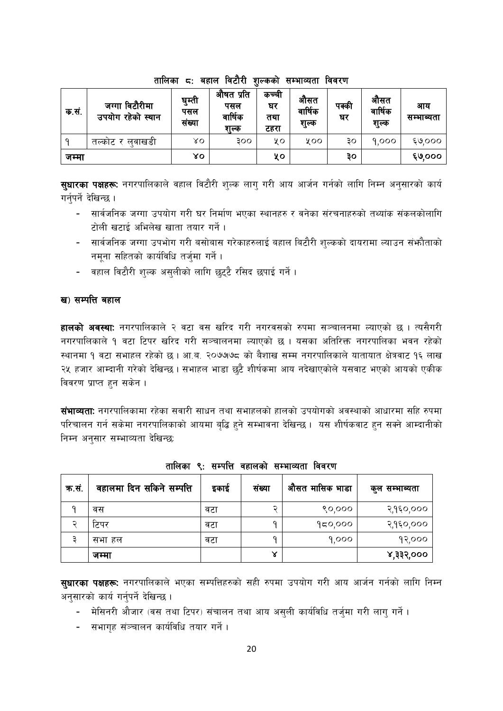| क.स.  | जग्गा विटौरीमा<br>उपयोग रहेको स्थान | घम्ती<br>पसल<br>संख्या | औषत प्रति<br>पसल<br>वार्षिक<br>शल्क | कच्चा<br>घर<br>तथा<br>टहरा | आसत<br>वार्षिक<br>शल्क | पक्की<br>घर | आसत<br>वार्षिक<br>शुल्क | आय<br>सम्भाव्यता |
|-------|-------------------------------------|------------------------|-------------------------------------|----------------------------|------------------------|-------------|-------------------------|------------------|
|       | लवाखडा<br>तल्काट र                  | ४०                     | 300                                 | χo                         | ४००                    | ЗO          | 9.000                   | 6000             |
| जम्मा |                                     | γo                     |                                     | ५०                         |                        | ३०          |                         | ६७,०००           |

#### तालिका ८: बहाल विटौरी शल्कको सम्भाव्यता विवरण

स्**धारका पक्षहरूः** नगरपालिकाले वहाल विटौरी शुल्क लाग् गरी आय आर्जन गर्नको लागि निम्न अनुसारको कार्य गर्नपर्ने देखिन्छ ।

- सार्वजनिक जग्गा उपयोग गरी घर निर्माण भएका स्थानहरु र वनेका संरचनाहरुको तथ्यांक संकलकोलागि टोली खटाई अभिलेख खाता तयार गर्ने ।
- सार्वजनिक जग्गा उपभोग गरी बसोबास गरेकाहरुलाई बहाल बिटौरी शुल्कको दायरामा ल्याउन संभाैताको नमना सहितको कार्यविधि तर्जमा गर्ने।
- वहाल विटौरी शुल्क असुलीको लागि छुट्टै रसिद छपाई गर्ने।

#### ख) सम्पत्ति बहाल

**हालको अवस्थाः** नगरपालिकाले २ वटा वस खरिद गरी नगरवसको रुपमा सञ्चालनमा ल्याएको छ । त्यसैगरी नगरपालिकाले १ वटा टिपर खरिद गरी सञ्चालनमा ल्याएको छ । यसका अतिरिक्त नगरपालिका भवन रहेको स्थानमा १ वटा सभाहल रहेको छ । आ.ब. २०७७७८ को बैशाख सम्म नगरपालिकाले यातायात क्षेत्रवाट १६ लाख २५ हजार आम्दानी गरेको देखिन्छ । सभाहल भाडा छुटै शीर्षकमा आय नदेखाएकोले यसवाट भएको आयको एकीक विवरण प्राप्त हुन सकेन ।

**संभाव्यताः** नगरपालिकामा रहेका सवारी साधन तथा सभाहलको हालको उपयोगको अवस्थाको आधारमा सहि रुपमा परिचालन गर्न सकेमा नगरपालिकाको आयमा बृद्धि हुने सम्भावना देखिन्छ । यस शीर्षकवाट हुन सक्ने आम्दानीको निम्न अनुसार सम्भाव्यता देखिन्छ:

| क.सं. | वहालमा दिन सकिने सम्पत्ति | इकाई | संख्या | औसत मासिक भाडा | कुल सम्भाब्यता |
|-------|---------------------------|------|--------|----------------|----------------|
|       | वस                        | वटा  | ∍      | 80,000         | २,१६०,०००      |
|       | टिपर                      | वटा  |        | 950,000        | २,१६०,०००      |
|       | सभा हल                    | वटा  |        | 9,000          | १२,०००         |
|       | जम्मा                     |      | ४      |                | ४,३३२,०००      |

तालिका ९: सम्पत्ति वहालको सम्भाव्यता विवरण

सुधारका पक्षहरू: नगरपालिकाले भएका सम्पत्तिहरुको सही रुपमा उपयोग गरी आय आर्जन गर्नको लागि निम्न अनसारको कार्य गर्नपर्ने देखिन्छ।

- मेसिनरी औजार (वस तथा टिपर) संचालन तथा आय असुली कार्यविधि तर्जुमा गरी लागु गर्ने ।
- सभागह संञ्चालन कार्यविधि तयार गर्ने ।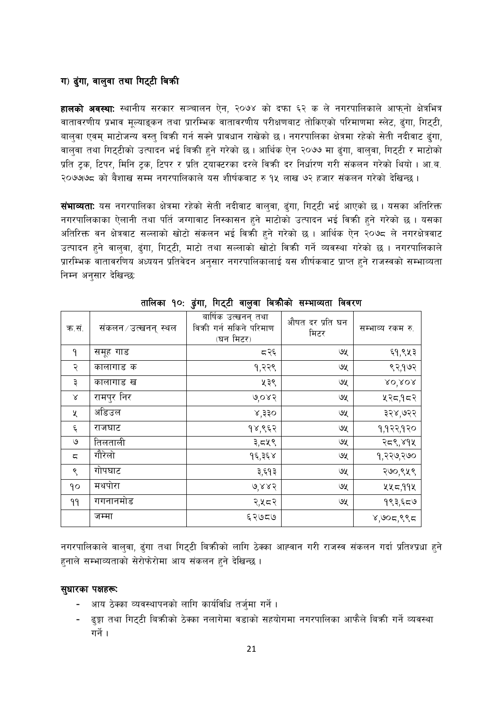#### ग) ढुंगा, वालुवा तथा गिट्टी बिकी

**हालको अवस्थाः** स्थानीय सरकार सञ्चालन ऐन, २०७४ को दफा ६२ क ले नगरपालिकाले आफनो क्षेत्रभित्र वातावरणीय प्रभाव मूल्याइकन तथा प्रारम्भिक वातावरणीय परीक्षणबाट तोकिएको परिमाणमा स्लेट, ढुंगा, गिट्टी, बालवा एवम् माटोजन्य वस्तु बिक्री गर्न सक्ने प्रावधान राखेको छ। नगरपालिका क्षेत्रमा रहेको सेती नदीवाट ढंगा, वालुवा तथा गिट्टीको उत्पादन भई बिक्री हुने गरेको छ । आर्थिक ऐन २०७७ मा ढुंगा, वालुवा, गिट्टी र माटोको प्रति टक, टिपर, मिनि टक, टिपर र प्रति ट्याक्टरका दरले विकी दर निर्धारण गरी संकलन गरेको थियो । आ.ब. २०७७७८ को बैशाख सम्म नगरपालिकाले यस शीर्षकवाट रु १५ लाख ७२ हजार संकलन गरेको देखिन्छ ।

संभाव्यताः यस नगरपालिका क्षेत्रमा रहेको सेती नदीवाट वालुवा, ढुंगा, गिट्टी भई आएको छ । यसका अतिरिक्त नगरपालिकाका ऐलानी तथा पर्ति जग्गावाट निस्कासन हुने माटोको उत्पादन भई विक्री हुने गरेको छ । यसका अतिरिक्त वन क्षेत्रवाट सल्लाको खोटो संकलन भई विक्री हने गरेको छ । आर्थिक ऐन २०७८ ले नगरक्षेत्रवाट उत्पादन हुने वालुवा, ढंगा, गिट्टी, माटो तथा सल्लाको खोटो विकी गर्ने व्यवस्था गरेको छ । नगरपालिकाले प्रारम्भिक वातावरणिय अध्ययन प्रतिवेदन अनुसार नगरपालिकालाई यस शीर्षकवाट प्राप्त हुने राजस्वको सम्भाव्यता निम्न अनुसार देखिन्छ:

| क.सं.              | संकलन ⁄ उत्खनन् स्थल | बार्षिक उत्खनन् तथा<br>विकी गर्न सकिने परिमाण<br>(घन मिटर) | औषत दर प्रति घन<br>मिटर | सम्भाव्य रकम रु. |
|--------------------|----------------------|------------------------------------------------------------|-------------------------|------------------|
| ٩                  | समूह गाड             | द २६                                                       | ও⊻                      | ६१,९५३           |
| २                  | कालागाड क            | १,२२९                                                      | ७५                      | ९२,१७२           |
| ३                  | कालागाड ख            | ५३९                                                        | ७५                      | XO'XOR           |
| Χ                  | रामपुर निर           | 0,085                                                      | ७५                      | ५२८,१८२          |
| X                  | अडिउल                | ४,३३०                                                      | ७५                      | ३२४,७२२          |
| $\boldsymbol{\xi}$ | राजघाट               | १४,९६२                                                     | ७५                      | १,१२२,१२०        |
| ও                  | तिलताली              | ३,८४९                                                      | ও⊻                      | २८९,४१५          |
| ς                  | गौरेलो               | १६,३६४                                                     | ७५                      | १,२२७,२७०        |
| ९                  | गोपघाट               | ३,६१३                                                      | ও⊻                      | २७०,९५९          |
| qo                 | मथपोरा               | 6.885                                                      | ७५                      | ५५८,११५          |
| 99                 | गगनानमोड             | २,५८२                                                      | ७५                      | १९३,६८७          |
|                    | जम्मा                | ६२७८७                                                      |                         | 8,905,885        |

तालिका १०: ढुंगा, गिट्टी वालुवा बिक्रीको सम्भाव्यता विवरण

नगरपालिकाले वालुवा, ढुंगा तथा गिट्टी बिक्रीको लागि ठेक्का आह्वान गरी राजस्व संकलन गर्दा प्रतिश्प्रधा हुने हनाले सम्भाव्यताको सेरोफेरोमा आय संकलन हुने देखिन्छ ।

#### सुधारका पक्षहरू:

- आय ठेक्का व्यवस्थापनको लागि कार्यविधि तर्जुमा गर्ने ।
- ढुङ्गा तथा गिट्टी बिक्रीको ठेक्का नलागेमा वडाको सहयोगमा नगरपालिका आफैले बिक्री गर्ने व्यवस्था गर्ने ।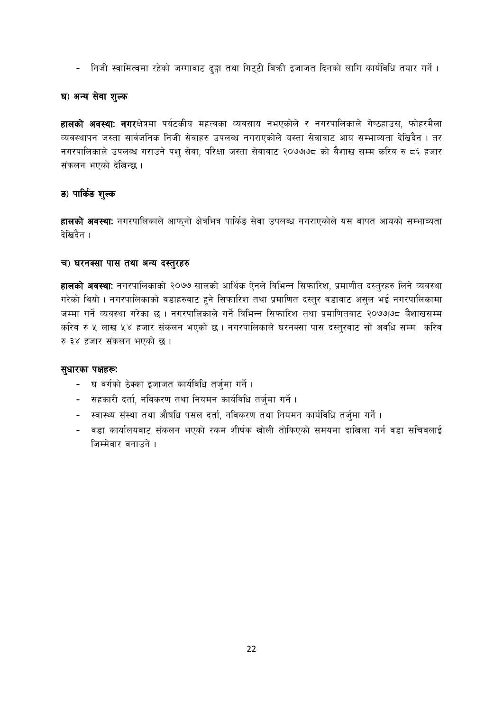- निजी स्वामित्वमा रहेको जग्गावाट ढुङ्गा तथा गिट्टी बिक्री इजाजत दिनको लागि कार्यविधि तयार गर्ने।

#### घ) अन्य सेवा शुल्क

**हालको अवस्थाः नगर**क्षेत्रमा पर्यटकीय महत्वका व्यवसाय नभएकोले र नगरपालिकाले गेष्ठहाउस, फोहरमैला व्यवस्थापन जस्ता सार्वजनिक निजी सेवाहरु उपलब्ध नगराएकोले यस्ता सेवावाट आय सम्भाव्यता देखिदैन । तर नगरपालिकाले उपलब्ध गराउने पश् सेवा, परिक्षा जस्ता सेवावाट २०७७७८ को बैशाख सम्म करिव रु ८६ हजार संकलन भएको देखिन्छ ।

#### ङ) पार्किङ शुल्क

**हालको अवस्था:** नगरपालिकाले आफुनो क्षेत्रभित्र पार्किङ सेवा उपलब्ध नगराएकोले यस बापत आयको सम्भाव्यता देखिदैन ।

#### च) घरनक्सा पास तथा अन्य दस्तुरहरु

**हालको अवस्थाः** नगरपालिकाको २०७७ सालको आर्थिक ऐनले विभिन्न सिफारिश, प्रमाणीत दस्तुरहरु लिने व्यवस्था गरेको थियो । नगरपालिकाको वडाहरुवाट हुने सिफारिश तथा प्रमाणित दस्तुर वडावाट असुल भई नगरपालिकामा जम्मा गर्ने व्यवस्था गरेका छ । नगरपालिकाले गर्ने विभिन्न सिफारिश तथा प्रमाणितवाट २०७७७८ बैशाखसम्म करिव रु ५ लाख ५४ हजार संकलन भएको छ । नगरपालिकाले घरनक्सा पास दस्तुरवाट सो अवधि सम्म करिव रु ३४ हजार संकलन भएको छ।

#### सुधारका पक्षहरू:

- घ वर्गको ठेक्का इजाजत कार्यविधि तर्जुमा गर्ने।
- सहकारी दर्ता, नविकरण तथा नियमन कार्यविधि तर्जुमा गर्ने।
- स्वास्थ्य संस्था तथा औषधि पसल दर्ता, नविकरण तथा नियमन कार्यविधि तर्जुमा गर्ने।
- वडा कार्यालयवाट संकलन भएको रकम शीर्षक खोली तोकिएको समयमा दाखिला गर्न वडा सचिवलाई जिम्मेवार वनाउने ।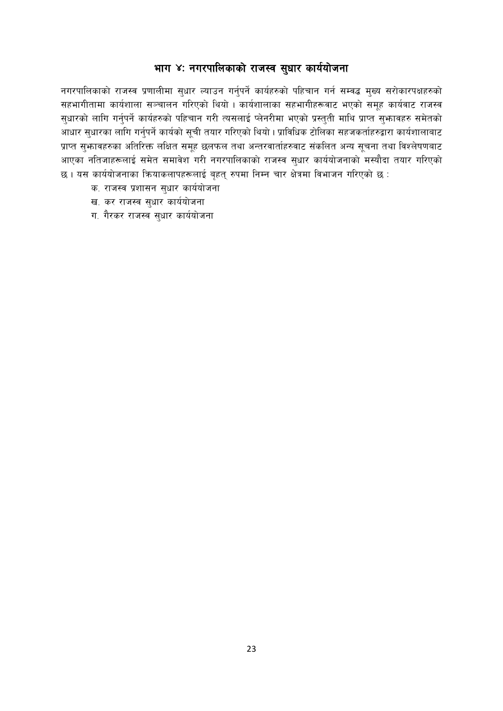# भाग ४: नगरपालिकाको राजस्व सुधार कार्ययोजना

नगरपालिकाको राजस्व प्रणालीमा सुधार ल्याउन गर्नुपर्ने कार्यहरुको पहिचान गर्न सम्वद्ध मुख्य सरोकारपक्षहरुको सहभागीतामा कार्यशाला सञ्चालन गरिएको थियो । कार्यशालाका सहभागीहरूवाट भएको समूह कार्यवाट राजस्व सुधारको लागि गर्नुपर्ने कार्यहरुको पहिचान गरी त्यसलाई प्लेनरीमा भएको प्रस्तुती माथि प्राप्त सुभ्फावहरु समेतको आधार सुधारका लागि गर्नुपर्ने कार्यको सूची तयार गरिएको थियो। प्राविधिक टोलिका सहजकर्ताहरुद्वारा कार्यशालाबाट प्राप्त सुभ्फावहरुका अतिरिक्त लक्षित समूह छलफल तथा अन्तरवार्ताहरुवाट संकलित अन्य सूचना तथा विश्लेषणबाट आएका नतिजाहरूलाई समेत समावेश गरी नगरपालिकाको राजस्व सुधार कार्ययोजनाको मस्यौदा तयार गरिएको छ। यस कार्ययोजनाका क्रियाकलापहरूलाई बृहत् रुपमा निम्न चार क्षेत्रमा विभाजन गरिएको छ :

- क. राजस्व प्रशासन सुधार कार्ययोजना
- ख. कर राजस्व सुधार कार्ययोजना
- ग. गैरकर राजस्व सुधार कार्ययोजना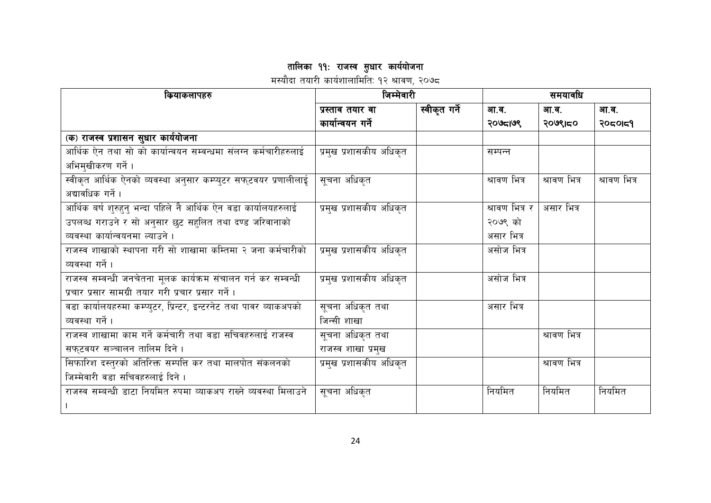तालिका ११: राजस्व सुधार कार्ययोजना<br>मस्यौदा तयारी कार्यशालामिति: १२ श्रावण, २०७८

| कियाकलापहरु                                                        | जिम्मेवारी              |               | समयावधि        |              |              |  |
|--------------------------------------------------------------------|-------------------------|---------------|----------------|--------------|--------------|--|
|                                                                    | प्रस्ताव तयार वा        | स्वीकृत गर्ने | आ.व.           | आ.व.         | आ.व.         |  |
|                                                                    | कार्यान्वयन गर्ने       |               | २०७८१७९        | २०७९।८०      | २०८०।८१      |  |
| (क) राजस्व प्रशासन सुधार कार्ययोजना                                |                         |               |                |              |              |  |
| आर्थिक ऐन तथा सो को कार्यान्वयन सम्वन्धमा संलग्न कर्मचारीहरुलाई    | प्रमुख प्रशासकीय अधिकृत |               | सम्पन्न        |              |              |  |
| अभिमुखीकरण गर्ने ।                                                 |                         |               |                |              |              |  |
| स्वीकृत आर्थिक ऐनको व्यवस्था अनुसार कम्प्युटर सफुटवयर प्रणालीलाई   | सूचना अधिकृत            |               | श्रावण भित्र   | श्रावण भित्र | श्रावण भित्र |  |
| अद्यावधिक गर्ने ।                                                  |                         |               |                |              |              |  |
| आर्थिक बर्ष शुरुहुनु भन्दा पहिले नै आर्थिक ऐन वडा कार्यालयहरुलाई   | प्रमुख प्रशासकीय अधिकृत |               | श्रावण भित्र र | असार भित्र   |              |  |
| उपलब्ध गराउने र सो अनुसार छुट सहुलित तथा दण्ड जरिवानाको            |                         |               | २०७९ को        |              |              |  |
| व्यवस्था कार्यान्वयनमा ल्याउने ।                                   |                         |               | असार भित्र     |              |              |  |
| राजस्व शाखाको स्थापना गरी सो शाखामा कम्तिमा २ जना कर्मचारीको       | प्रमुख प्रशासकीय अधिकृत |               | असोज भित्र     |              |              |  |
| व्यवस्था गर्ने ।                                                   |                         |               |                |              |              |  |
| राजस्व सम्वन्धी जनचेतना मूलक कार्यक्रम संचालन गर्न कर सम्वन्धी     | प्रमुख प्रशासकीय अधिकृत |               | असोज भित्र     |              |              |  |
| प्रचार प्रसार सामग्री तयार गरी प्रचार प्रसार गर्ने ।               |                         |               |                |              |              |  |
| वडा कार्यालयहरुमा कम्प्युटर, प्रिन्टर, इन्टरनेट तथा पावर व्याकअपको | सूचना अधिकृत तथा        |               | असार भित्र     |              |              |  |
| व्यवस्था गर्ने ।                                                   | जिन्सी शाखा             |               |                |              |              |  |
| राजस्व शाखामा काम गर्ने कर्मचारी तथा वडा सचिवहरुलाई राजस्व         | सूचना अधिकृत तथा        |               |                | श्रावण भित्र |              |  |
| सफ्टवयर सञ्चालन तालिम दिने ।                                       | राजस्व शाखा प्रमुख      |               |                |              |              |  |
| सिफारिश दस्तुरको अतिरिक्त सम्पत्ति कर तथा मालपोत संकलनको           | प्रमुख प्रशासकीय अधिकृत |               |                | श्रावण भित्र |              |  |
| जिम्मेवारी वडा सचिवहरुलाई दिने।                                    |                         |               |                |              |              |  |
| राजस्व सम्बन्धी डाटा नियमित रुपमा व्याकअप राख्ने व्यवस्था मिलाउने  | सूचना अधिकृत            |               | नियमित         | नियमित       | नियमित       |  |
|                                                                    |                         |               |                |              |              |  |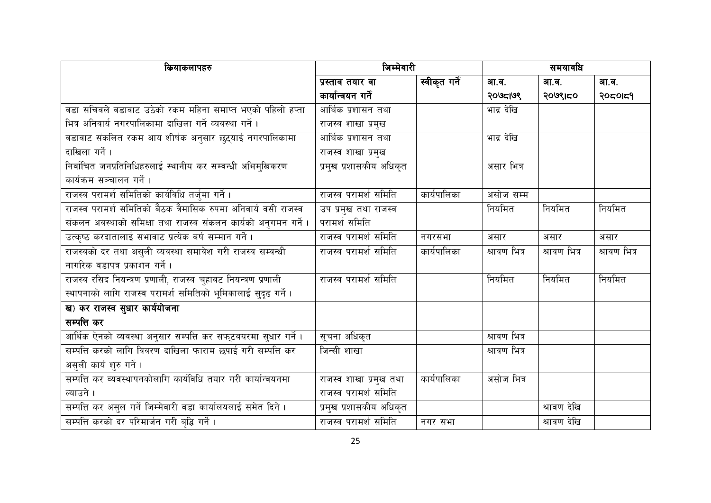| कियाकलापहरु                                                     | जिम्मेवारी              |               | समयावधि      |              |              |
|-----------------------------------------------------------------|-------------------------|---------------|--------------|--------------|--------------|
|                                                                 | प्रस्ताव तयार वा        | स्वीकृत गर्ने | आ.व.         | आ.व.         | आ.व.         |
|                                                                 | कार्यान्वयन गर्ने       |               | २०७८1७९      | २०७९।८०      | २०८०।८१      |
| वडा सचिवले वडावाट उठेको रकम महिना समाप्त भएको पहिलो हप्ता       | आर्थिक प्रशासन तथा      |               | भाद्र देखि   |              |              |
| भित्र अनिवार्य नगरपालिकामा दाखिला गर्ने व्यवस्था गर्ने ।        | राजस्व शाखा प्रमुख      |               |              |              |              |
| वडावाट संकलित रकम आय शीर्षक अनुसार छुट्याई नगरपालिकामा          | आर्थिक प्रशासन तथा      |               | भाद्र देखि   |              |              |
| दाखिला गर्ने ।                                                  | राजस्व शाखा प्रमुख      |               |              |              |              |
| निर्वाचित जनप्रतिनिधिहरुलाई स्थानीय कर सम्वन्धी अभिमुखिकरण      | प्रमुख प्रशासकीय अधिकृत |               | असार भित्र   |              |              |
| कार्यक्रम सञ्चालन गर्ने ।                                       |                         |               |              |              |              |
| राजस्व परामर्श समितिको कार्यविधि तर्जुमा गर्ने।                 | राजस्व परामर्श समिति    | कार्यपालिका   | असोज सम्म    |              |              |
| राजस्व परामर्श समितिको बैठक त्रैमासिक रुपमा अनिवार्य वसी राजस्व | उप प्रमुख तथा राजस्व    |               | नियमित       | नियमित       | नियमित       |
| संकलन अवस्थाको समिक्षा तथा राजस्व संकलन कार्यको अनुगमन गर्ने ।  | परामर्श समिति           |               |              |              |              |
| उत्कृष्ठ करदातालाई सभावाट प्रत्येक बर्ष सम्मान गर्ने ।          | राजस्व परामर्श समिति    | नगरसभा        | असार         | असार         | असार         |
| राजस्वको दर तथा असुली व्यवस्था समावेश गरी राजस्व सम्वन्धी       | राजस्व परामर्श समिति    | कार्यपालिका   | श्रावण भित्र | श्रावण भित्र | श्रावण भित्र |
| नागरिक वडापत्र प्रकाशन गर्ने ।                                  |                         |               |              |              |              |
| राजस्व रसिद नियन्त्रण प्रणाली, राजस्व चुहावट नियन्त्रण प्रणाली  | राजस्व परामर्श समिति    |               | नियमित       | नियमित       | नियमित       |
| स्थापनाको लागि राजस्व परामर्श समितिको भूमिकालाई सुदृढ गर्ने।    |                         |               |              |              |              |
| ख) कर राजस्व सुधार कार्ययोजना                                   |                         |               |              |              |              |
| सम्पत्ति कर                                                     |                         |               |              |              |              |
| आर्थिक ऐनको व्यवस्था अनुसार सम्पत्ति कर सफ्टवयरमा सुधार गर्ने । | सूचना अधिकृत            |               | श्रावण भित्र |              |              |
| सम्पत्ति करको लागि विवरण दाखिला फाराम छपाई गरी सम्पत्ति कर      | <u>जिन्सी शाखा</u>      |               | श्रावण भित्र |              |              |
| असुली कार्य शुरु गर्ने ।                                        |                         |               |              |              |              |
| सम्पत्ति कर व्यवस्थापनकोलागि कार्यविधि तयार गरी कार्यान्वयनमा   | राजस्व शाखा प्रमुख तथा  | कार्यपालिका   | असोज भित्र   |              |              |
| त्याउने ।                                                       | राजस्व परामर्श समिति    |               |              |              |              |
| सम्पत्ति कर असुल गर्ने जिम्मेवारी वडा कार्यालयलाई समेत दिने।    | प्रमुख प्रशासकीय अधिकृत |               |              | श्रावण देखि  |              |
| सम्पत्ति करको दर परिमार्जन गरी बृद्धि गर्ने ।                   | राजस्व परामर्श समिति    | नगर सभा       |              | श्रावण देखि  |              |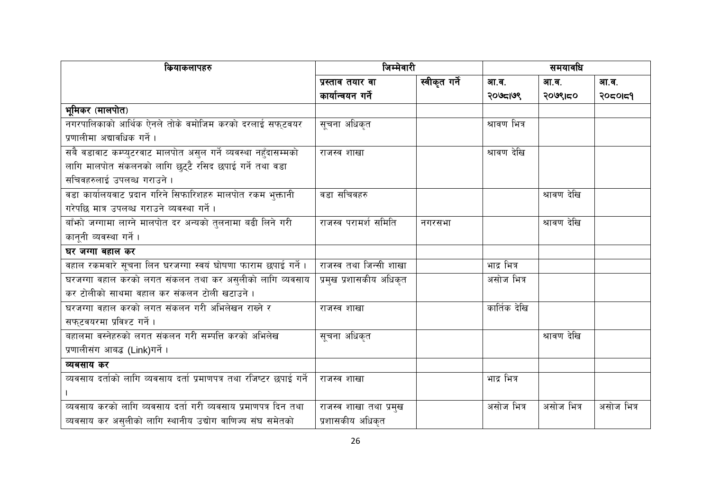| कियाकलापहरु                                                          | जिम्मेवारी              |               | समयावधि      |             |            |
|----------------------------------------------------------------------|-------------------------|---------------|--------------|-------------|------------|
|                                                                      | प्रस्ताव तयार वा        | स्वीकृत गर्ने | आ.व.         | आ.व.        | आ.व.       |
|                                                                      | कार्यान्वयन गर्ने       |               | २०७८1७९      | २०७९।८०     | २०८०।८१    |
| भूमिकर (मालपोत)                                                      |                         |               |              |             |            |
| नगरपालिकाको आर्थिक ऐनले तोके वमोजिम करको दरलाई सफुटवयर               | सूचना अधिकृत            |               | श्रावण भित्र |             |            |
| प्रणालीमा अद्यावधिक गर्ने ।                                          |                         |               |              |             |            |
| सबै वडावाट कम्प्युटरवाट मालपोत असुल गर्ने व्यवस्था नहुँदासम्मको      | राजस्व शाखा             |               | श्रावण देखि  |             |            |
| लागि मालपोत संकलनको लागि छुट्टै रसिद छपाई गर्ने तथा वडा              |                         |               |              |             |            |
| सचिवहरुलाई उपलब्ध गराउने।                                            |                         |               |              |             |            |
| वडा कार्यालयवाट प्रदान गरिने सिफारिशहरु मालपोत रकम भुक्तानी          | वडा सचिवहरु             |               |              | श्रावण देखि |            |
| गरेपछि मात्र उपलब्ध गराउने व्यवस्था गर्ने।                           |                         |               |              |             |            |
| बाँफो जग्गामा लाग्ने मालपोत दर अन्यको तुलनामा बढी लिने गरी           | राजस्व परामर्श समिति    | नगरसभा        |              | श्रावण देखि |            |
| कानूनी व्यवस्था गर्ने ।                                              |                         |               |              |             |            |
| घर जग्गा बहाल कर                                                     |                         |               |              |             |            |
| वहाल रकमवारे सूचना लिन घरजग्गा स्वयं घोषणा फाराम छपाई गर्ने ।        | राजस्व तथा जिन्सी शाखा  |               | भाद्र भित्र  |             |            |
| घरजग्गा वहाल करको लगत संकलन तथा कर असुलीको लागि व्यवसाय              | प्रमुख प्रशासकीय अधिकृत |               | असोज भित्र   |             |            |
| कर टोलीको साथमा वहाल कर संकलन टोली खटाउने ।                          |                         |               |              |             |            |
| घरजग्गा वहाल करको लगत संकलन गरी अभिलेखन राख्ने र                     | राजस्व शाखा             |               | कार्तिक देखि |             |            |
| सफ्टवयरमा प्रविश्ट गर्ने ।                                           |                         |               |              |             |            |
| बहालमा वस्नेहरुको लगत संकलन गरी सम्पत्ति करको अभिलेख                 | सूचना अधिकृत            |               |              | श्रावण देखि |            |
| प्रणालीसंग आबद्ध (Link)गर्ने ।                                       |                         |               |              |             |            |
| व्यबसाय कर                                                           |                         |               |              |             |            |
| व्यवसाय दर्ताको लागि व्यवसाय दर्ता प्रमाणपत्र तथा रजिष्टर छपाई गर्ने | राजस्व शाखा             |               | भाद्र भित्र  |             |            |
|                                                                      |                         |               |              |             |            |
| व्यवसाय करको लागि व्यवसाय दर्ता गरी व्यवसाय प्रमाणपत्र दिन तथा       | राजस्व शाखा तथा प्रमुख  |               | असोज भित्र   | असोज भित्र  | असोज भित्र |
| व्यवसाय कर असुलीको लागि स्थानीय उद्योग वाणिज्य संघ समेतको            | प्रशासकीय अधिकृत        |               |              |             |            |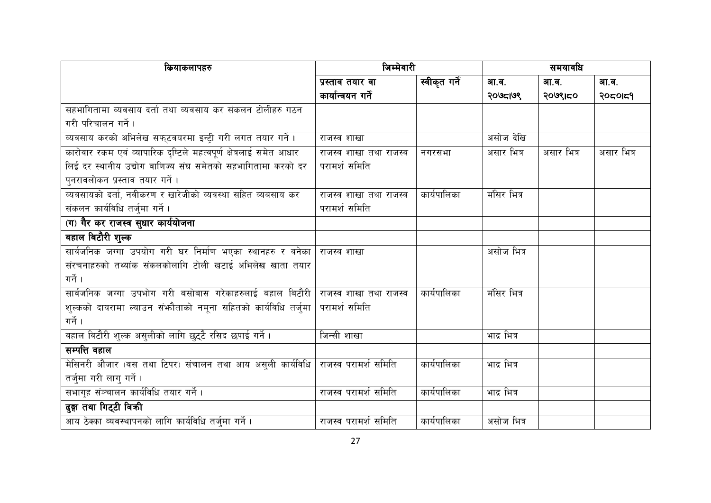| कियाकलापहरु                                                        | जिम्मेवारी             |               | समयावधि     |            |            |
|--------------------------------------------------------------------|------------------------|---------------|-------------|------------|------------|
|                                                                    | प्रस्ताव तयार वा       | स्वीकृत गर्ने | आ.व.        | आ.व.       | आ.व.       |
|                                                                    | कार्यान्वयन गर्ने      |               | २०७८1७९     | २०७९।८०    | २०८०।८१    |
| सहभागितामा व्यवसाय दर्ता तथा व्यवसाय कर संकलन टोलीहरु गठन          |                        |               |             |            |            |
| गरी परिचालन गर्ने ।                                                |                        |               |             |            |            |
| व्यवसाय करको अभिलेख सफ्टवयरमा इन्ट्री गरी लगत तयार गर्ने।          | राजस्व शाखा            |               | असोज देखि   |            |            |
| कारोवार रकम एवं व्यापारिक दृष्टिले महत्वपूर्ण क्षेत्रलाई समेत आधार | राजस्व शाखा तथा राजस्व | नगरसभा        | असार भित्र  | असार भित्र | असार भित्र |
| लिई दर स्थानीय उद्योग वाणिज्य संघ समेतको सहभागितामा करको दर        | परामर्श समिति          |               |             |            |            |
| पुनरावलोकन प्रस्ताव तयार गर्ने ।                                   |                        |               |             |            |            |
| व्यबसायको दर्ता, नवीकरण र खारेजीको व्यवस्था सहित व्यबसाय कर        | राजस्व शाखा तथा राजस्व | कार्यपालिका   | मंसिर भित्र |            |            |
| संकलन कार्यविधि तर्जुमा गर्ने ।                                    | परामर्श समिति          |               |             |            |            |
| (ग) गैर कर राजस्व सुधार कार्ययोजना                                 |                        |               |             |            |            |
| बहाल बिटौरी शुल्क                                                  |                        |               |             |            |            |
| सार्वजनिक जग्गा उपयोग गरी घर निर्माण भएका स्थानहरु र वनेका         | राजस्व शाखा            |               | असोज भित्र  |            |            |
| संरचनाहरुको तथ्यांक संकलकोलागि टोली खटाई अभिलेख खाता तयार          |                        |               |             |            |            |
| गर्ने ।                                                            |                        |               |             |            |            |
| सार्वजनिक जग्गा उपभोग गरी बसोबास गरेकाहरुलाई बहाल बिटौरी           | राजस्व शाखा तथा राजस्व | कार्यपालिका   | मंसिर भित्र |            |            |
| शुल्कको दायरामा ल्याउन संभ्रौताको नमूना सहितको कार्यविधि तर्जुमा   | परामर्श समिति          |               |             |            |            |
| गर्ने ।                                                            |                        |               |             |            |            |
| वहाल विटौरी शुल्क असुलीको लागि छुट्टै रसिद छपाई गर्ने।             | <u>जिन्सी शाखा</u>     |               | भाद्र भित्र |            |            |
| सम्पत्ति वहाल                                                      |                        |               |             |            |            |
| मेसिनरी औजार (वस तथा टिपर) संचालन तथा आय असुली कार्यविधि           | राजस्व परामर्श समिति   | कार्यपालिका   | भाद्र भित्र |            |            |
| तर्जुमा गरी लागु गर्ने ।                                           |                        |               |             |            |            |
| सभागृह संञ्चालन कार्यविधि तयार गर्ने ।                             | राजस्व परामर्श समिति   | कार्यपालिका   | भाद्र भित्र |            |            |
| ढुङ्गा तथा गिट्टी बिकी                                             |                        |               |             |            |            |
| आय ठेक्का व्यवस्थापनको लागि कार्यविधि तर्जुमा गर्ने ।              | राजस्व परामर्श समिति   | कार्यपालिका   | असोज भित्र  |            |            |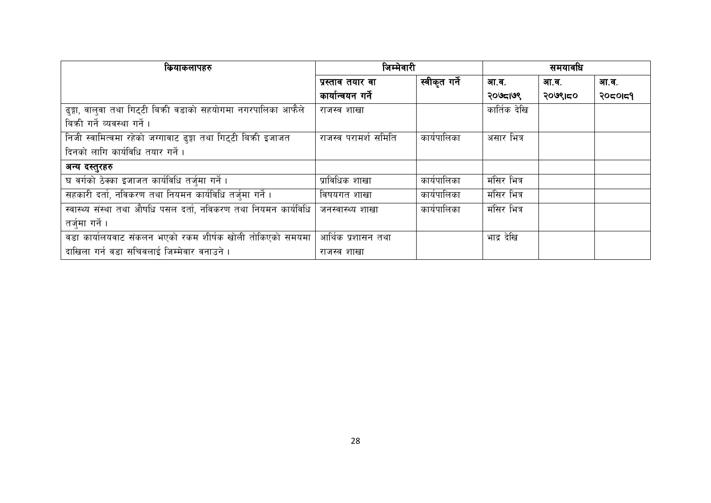| कियाकलापहरु                                                     | जिम्मेवारी           |               | समयावधि      |         |         |
|-----------------------------------------------------------------|----------------------|---------------|--------------|---------|---------|
|                                                                 | प्रस्ताव तयार वा     | स्वीकृत गर्ने | आ.व.         | आ.व.    | आ.व.    |
|                                                                 | कार्यान्वयन गर्ने    |               | २०७८१७९      | २०७९।८० | 2050159 |
| ढुङ्गा, वालुवा तथा गिट्टी बिकी वडाको सहयोगमा नगरपालिका आफैले    | राजस्व शाखा          |               | कार्तिक देखि |         |         |
| बिकी गर्ने व्यवस्था गर्ने ।                                     |                      |               |              |         |         |
| निजी स्वामित्वमा रहेको जग्गावाट ढुङ्गा तथा गिट्टी बिक्री इजाजत  | राजस्व परामर्श समिति | कार्यपालिका   | असार भित्र   |         |         |
| दिनको लागि कार्यविधि तयार गर्ने।                                |                      |               |              |         |         |
| अन्य दस्तुरहरु                                                  |                      |               |              |         |         |
| घ वर्गको ठेक्का इजाजत कार्यविधि तर्जुमा गर्ने।                  | प्राविधिक शाखा       | कार्यपालिका   | मंसिर भित्र  |         |         |
| सहकारी दर्ता, नविकरण तथा नियमन कार्यविधि तर्जुमा गर्ने।         | विषयगत शाखा          | कार्यपालिका   | मंसिर भित्र  |         |         |
| स्वास्थ्य संस्था तथा औषधि पसल दर्ता, नविकरण तथा नियमन कार्यविधि | जनस्वास्थ्य शाखा     | कार्यपालिका   | मंसिर भित्र  |         |         |
| तर्जुमा गर्ने ।                                                 |                      |               |              |         |         |
| वडा कार्यालयवाट संकलन भएको रकम शीर्षक खोली तोकिएको समयमा        | आर्थिक प्रशासन तथा   |               | भाद्र देखि   |         |         |
| दाखिला गर्न वडा सचिवलाई जिम्मेवार वनाउने ।                      | राजस्व शाखा          |               |              |         |         |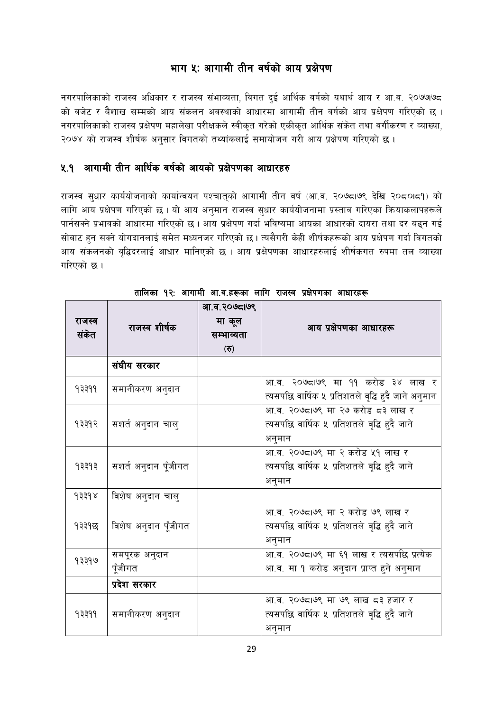# भाग ५: आगामी तीन वर्षको आय प्रक्षेपण

नगरपालिकाको राजस्व अधिकार र राजस्व संभाव्यता, विगत दुई आर्थिक वर्षको यथार्थ आय र आ.व. २०७७७८ को वजेट र बैशाख सम्मको आय संकलन अवस्थाको आधारमा आगामी तीन वर्षको आय प्रक्षेपण गरिएको छ । नगरपालिकाको राजस्व प्रक्षेपण महालेखा परीक्षकले स्वीकृत गरेको एकीकृत आर्थिक संकेत तथा वर्गीकरण र व्याख्या, २०७४ को राजस्व शीर्षक अनुसार विगतको तथ्यांकलाई समायोजन गरी आय प्रक्षेपण गरिएको छ।

# ४.१ आगामी तीन आर्थिक वर्षको आयको प्रक्षेपणका आधारहरु

राजस्व सुधार कार्ययोजनाको कार्यान्वयन पश्चात्को आगामी तीन वर्ष (आ.व. २०७८।७९ देखि २०८०।८१) को लागि आय प्रक्षेपण गरिएको छ । यो आय अनुमान राजस्व सुधार कार्ययोजनामा प्रस्ताव गरिएका क्रियाकलापहरूले पार्नसक्ने प्रभावको आधारमा गरिएको छ । आय प्रक्षेपण गर्दा भविष्यमा आयका आधारको दायरा तथा दर बढ्न गई सोबाट हन सक्ने योगदानलाई समेत मध्यनजर गरिएको छ । त्यसैगरी केही शीर्षकहरूको आय प्रक्षेपण गर्दा विगतको आय संकलनको वृद्धिदरलाई आधार मानिएको छ । आय प्रक्षेपणका आधारहरुलाई शीर्षकगत रुपमा तल व्याख्या गरिएको छ ।

| राजस्व<br>संकेत           | राजस्व शीर्षक            | आ.व.२०७८।७९<br>मा कूल<br>सम्भाव्यता<br>$\left( \overline{\mathbf{e}}\right)$ | आय प्रक्षेपणका आधारहरू                                                                     |
|---------------------------|--------------------------|------------------------------------------------------------------------------|--------------------------------------------------------------------------------------------|
|                           | संघीय सरकार              |                                                                              |                                                                                            |
| १३३११                     | समानीकरण अनुदान          |                                                                              | आ.व. २०७८७९ मा ११ करोड ३४ लाख र<br>त्यसपछि वार्षिक ५ प्रतिशतले वृद्धि हुदै जाने अनुमान     |
| १३३१२                     | सशर्त अनुदान चालु        |                                                                              | आ.व. २०७८१७९ मा २७ करोड ८३ लाख र<br>त्यसपछि वार्षिक ५ प्रतिशतले वृद्धि हुदै जाने<br>अनुमान |
| १३३१३                     | सशर्त अनुदान पूँजीगत     |                                                                              | आ.व. २०७८1७९ मा २ करोड ५१ लाख र<br>त्यसपछि वार्षिक ५ प्रतिशतले वृद्धि हुदै जाने<br>अनुमान  |
| $\lambda$ $\lambda$ $\pm$ | विशेष अनुदान चालु        |                                                                              |                                                                                            |
| १३३१छ                     | विशेष अनुदान पूँजीगत     |                                                                              | आ.व. २०७८१७९ मा २ करोड ७९ लाख र<br>त्यसपछि वार्षिक ५ प्रतिशतले वृद्धि हुदै जाने<br>अनुमान  |
| १३३१७                     | समपूरक अनुदान<br>पूँजीगत |                                                                              | आ.व. २०७८१७९ मा ६१ लाख र त्यसपछि प्रत्येक<br>आ.व. मा १ करोड अनुदान प्राप्त हुने अनुमान     |
|                           | प्रदेश सरकार             |                                                                              |                                                                                            |
| १३३११                     | समानीकरण अनुदान          |                                                                              | आ.व. २०७द।७९ मा ७९ लाख द३ हजार र<br>त्यसपछि वार्षिक ५ प्रतिशतले वृद्धि हुदै जाने<br>अनुमान |

तालिका १२: आगामी आ.व.ह, का लागि राजस्व प्रक्षेपणका आधारह,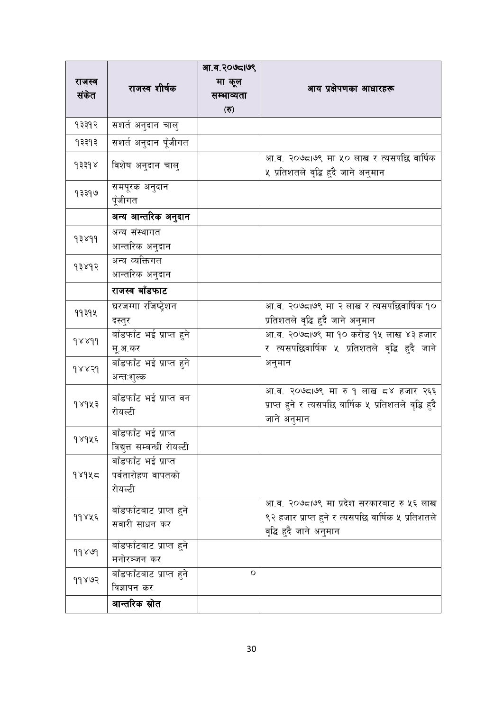| राजस्व                            |                                                     | आ.व.२०७८।७९<br>मा कूल                 |                                                                                                                            |
|-----------------------------------|-----------------------------------------------------|---------------------------------------|----------------------------------------------------------------------------------------------------------------------------|
| संकेत                             | राजस्व शीर्षक                                       | सम्भाव्यता                            | आय प्रक्षेपणका आधारहरू                                                                                                     |
|                                   |                                                     | $\left( \overline{\mathbf{e}}\right)$ |                                                                                                                            |
| 93392                             | सशर्त अनुदान चालु                                   |                                       |                                                                                                                            |
| १३३१३                             | सशते अनुदान पूँजीगत                                 |                                       |                                                                                                                            |
| $\gamma$ $\gamma$ $\beta$ $\beta$ | विशेष अनुदान चालु                                   |                                       | आ.व. २०७८ा७९ मा ५० लाख र त्यसपछि वार्षिक<br>५ प्रतिशतले वृद्धि हुदै जाने अनुमान                                            |
| १३३१७                             | समपूरक अनुदान<br>पूँजीगत                            |                                       |                                                                                                                            |
|                                   | अन्य आन्तरिक अनुदान                                 |                                       |                                                                                                                            |
| 93899                             | अन्य संस्थागत<br>आन्तरिक अनुदान                     |                                       |                                                                                                                            |
| 93893                             | अन्य व्यक्तिगत<br>आन्तरिक अनुदान                    |                                       |                                                                                                                            |
|                                   | राजस्व बाँडफाट                                      |                                       |                                                                                                                            |
| 99394                             | घरजग्गा रजिष्ट्रेशन<br>दस्तुर                       |                                       | आ.व. २०७८।७९ मा २ लाख र त्यसपछिवार्षिक १०<br>प्रतिशतले वृद्धि हुदै जाने अनुमान                                             |
| 988d                              | बाँडफाँट भई प्राप्त हुने<br>मू.अ.कर                 |                                       | आ.व. २०७८ा७९ मा १० करोड १५ लाख ४३ हजार<br>र त्यसपछिवार्षिक ५ प्रतिशतले वृद्धि हुदै जाने                                    |
| 98839                             | बाँडफाँट भई प्राप्त हुने<br>अन्तःशुल्क              |                                       | अनुमान                                                                                                                     |
| १४१५३                             | बाँडफाँट भई प्राप्त वन<br>रोयल्टी                   |                                       | आ.व. २०७८,।७९ मा रु १ लाख ८४ हजार २६६<br>प्राप्त हुने र त्यसपछि वार्षिक ५ प्रतिशतले वृद्धि हुदै<br>जाने अनुमान             |
| १४१५६                             | बाँडफाँट भई प्राप्त<br>विद्युत्त सम्बन्धी रोयल्टी   |                                       |                                                                                                                            |
| १४१५८                             | बाँडफाँट भई प्राप्त<br>पर्वतारोहण वापतको<br>रोयल्टी |                                       |                                                                                                                            |
| ११४५६                             | बाँडफाँटबाट प्राप्त हुने<br>सवारी साधन कर           |                                       | आ.व. २०७८ ७९ मा प्रदेश सरकारबाट रु ५६ लाख<br>९२ हजार प्राप्त हुने र त्यसपछि वार्षिक ५ प्रतिशतले<br>वृद्धि हुदै जाने अनुमान |
| 99899                             | बाँडफाँटबाट प्राप्त हुने<br>मनोरञ्जन कर             |                                       |                                                                                                                            |
| 99863                             | बाँडफाँटबाट प्राप्त हुने<br>विज्ञापन कर             | O                                     |                                                                                                                            |
|                                   | आन्तरिक स्रोत                                       |                                       |                                                                                                                            |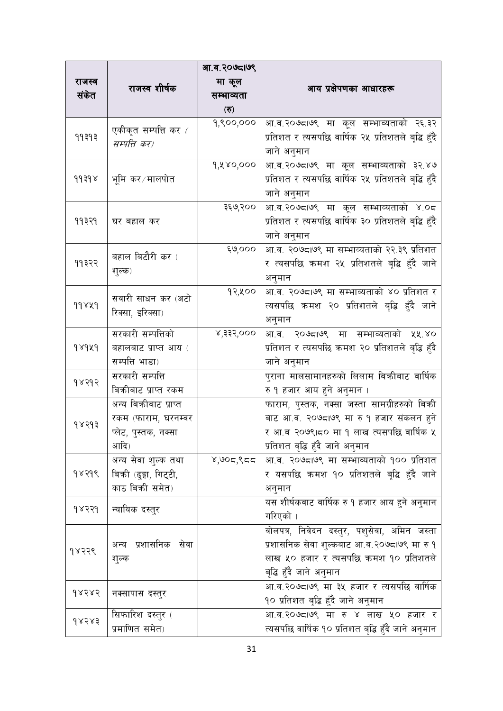| राजस्व    |                             | आ.व.२०७८।७९<br>मा कूल |                                                     |
|-----------|-----------------------------|-----------------------|-----------------------------------------------------|
| संकेत     | राजस्व शीर्षक               | सम्भाव्यता            | आय प्रक्षेपणका आधारहरू                              |
|           |                             | (5)                   |                                                     |
|           | एकीकृत सम्पत्ति कर (        | 9,900,000             | आ.व.२०७८,७९ मा कूल सम्भाव्यताको २६.३२               |
| 99393     | सम्पत्ति कर)                |                       | प्रतिशत र त्यसपछि वार्षिक २५ प्रतिशतले बृद्धि हुँदै |
|           |                             |                       | जाने अनुमान                                         |
|           |                             | 9, 480,000            | आ.व.२०७८,७९ मा कूल सम्भाव्यताको ३२.४७               |
| 99398     | भूमि कर∕मालपोत              |                       | प्रतिशत र त्यसपछि वार्षिक २५ प्रतिशतले बृद्धि हुँदै |
|           |                             |                       | जाने अनुमान                                         |
|           |                             | ३६७,२००               | आ.व.२०७८।७९ मा कूल सम्भाव्यताको ४.०८                |
| ११३२१     | घर बहाल कर                  |                       | प्रतिशत र त्यसपछि वार्षिक ३० प्रतिशतले बृद्धि हुँदै |
|           |                             |                       | जाने अनुमान                                         |
|           | बहाल बिटौरी कर (            | ६७,०००                | आ.व. २०७८७९ मा सम्भाव्यताको २२.३९ प्रतिशत           |
| ११३२२     | शुल्क)                      |                       | र त्यसपछि कमश २५ प्रतिशतले बृद्धि हुँदै जाने        |
|           |                             |                       | अनुमान                                              |
|           | सवारी साधन कर (अटो          | १२,५००                | आ.व. २०७८७९ मा सम्भाव्यताको ४० प्रतिशत र            |
| 99849     | रिक्सा, इरिक्सा)            |                       | त्यसपछि क्रमश २० प्रतिशतले बृद्धि हुँदै जाने        |
|           |                             |                       | अनुमान                                              |
|           | सरकारी सम्पत्तिको           | ४,३३२,०००             | आ.व. २०७८१७९ मा सम्भाव्यताको ५५.४०                  |
| 98949     | बहालबाट प्राप्त आय (        |                       | प्रतिशत र त्यसपछि क्रमश २० प्रतिशतले बृद्धि हुँदै   |
|           | सम्पत्ति भाडा)              |                       | जाने अनुमान                                         |
| १४२१२     | सरकारी सम्पत्ति             |                       | पुराना मालसामानहरुको लिलाम बिक्रीबाट वार्षिक        |
|           | बिकीबाट प्राप्त रकम         |                       | रु १ हजार आय हुने अनुमान ।                          |
|           | ___<br>अन्य बिकीबाट प्राप्त |                       | फाराम, पुस्तक, नक्सा जस्ता सामग्रीहरुको बिक्री      |
| १४२१३     | रकम (फाराम, घरनम्बर         |                       | बाट आ.व. २०७८,७९ मा रु १ हजार संकलन हुने            |
|           | प्लेट, पुस्तक, नक्सा        |                       | र आ.ब २०७९।८० मा १ लाख त्यसपछि वार्षिक ५            |
|           | आदि)                        |                       | प्रतिशत बृद्धि हुँदै जाने अनुमान                    |
|           | अन्य सेवा शुल्क तथा         | 8,905,955             | आ.व. २०७८।७९ मा सम्भाव्यताको १०० प्रतिशत            |
| 9889      | बिकी (ढुङ्गा, गिट्टी,       |                       | र यसपछि कमश १० प्रतिशतले बृद्धि हुँदै जाने          |
|           | काठ बिकी समेत)              |                       | अनुमान                                              |
| १४२२१     | न्यायिक दस्तुर              |                       | यस शीर्षकवाट वार्षिक रु १ हजार आय हुने अनुमान       |
|           |                             |                       | गरिएको ।                                            |
|           |                             |                       | वोलपत्र, निवेदन दस्तुर, पशुसेवा, अमिन जस्ता         |
| १४२२९     | अन्य प्रशासनिक सेवा         |                       | प्रशासनिक सेवा शुल्कबाट आ.व.२०७८।७९ मा रु १         |
|           | शुल्क                       |                       | लाख ५० हजार र त्यसपछि क्रमश १० प्रतिशतले            |
|           |                             |                       | बृद्धि हुँदै जाने अनुमान                            |
| 98585     | नक्सापास दस्तुर             |                       | आ.व.२०७८।७९ मा ३५ हजार र त्यसपछि वार्षिक            |
|           |                             |                       | १० प्रतिशत बृद्धि हुँदै जाने अनुमान                 |
| d x 5 x 3 | सिफारिश दस्तुर (            |                       | आ.व.२०७८व।९ मा रु ४ लाख ५० हजार र                   |
|           | प्रमाणित समेत)              |                       | त्यसपछि वार्षिक १० प्रतिशत बृद्धि हुँदै जाने अनुमान |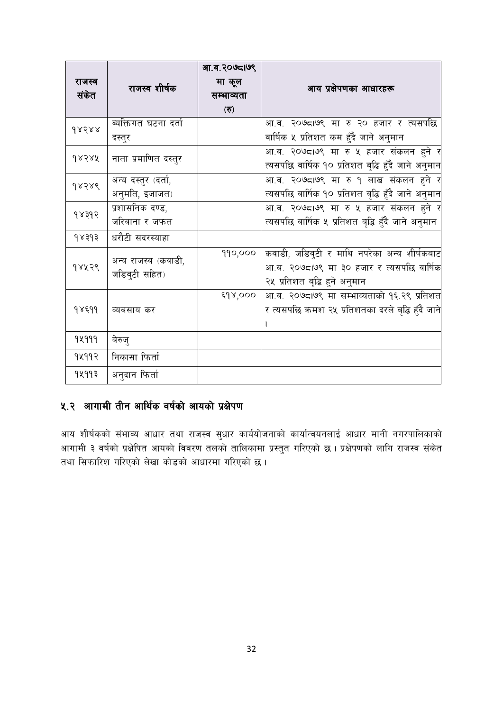|        |                      | आ.व.२०७८।७९ |                                                     |
|--------|----------------------|-------------|-----------------------------------------------------|
| राजस्व | राजस्व शीर्षक        | मा कूल      | आय प्रक्षेपणका आधारहरू                              |
| संकेत  |                      | सम्भाव्यता  |                                                     |
|        |                      | (5)         |                                                     |
| d8588  | व्यक्तिगत घटना दर्ता |             | आ.व. २०७८।७९ मा रु २० हजार र त्यसपछि                |
|        | दस्तुर               |             | वार्षिक ५ प्रतिशत कम हुँदै जाने अनुमान              |
| 98388  | नाता प्रमाणित दस्तुर |             | .<br>आ.व. २०७८।७९ मा रु ५ हजार संकलन हुने र         |
|        |                      |             | त्यसपछि वार्षिक १० प्रतिशत बृद्धि हुँदै जाने अनुमान |
| 98789  | अन्य दस्तुर (दर्ता,  |             | आ.व. २०७८।७९ मा रु १ लाख संकलन हुने र               |
|        | अनुमति, इजाजत)       |             | त्यसपछि वार्षिक १० प्रतिशत बृद्धि हुँदै जाने अनुमान |
| 98895  | प्रशासनिक दण्ड,      |             | .<br>आ.व. २०७८।७९ मा रु ५ हजार संकलन हुने र         |
|        | जरिवाना र जफत        |             | त्यसपछि वार्षिक ५ प्रतिशत बृद्धि हुँदै जाने अनुमान  |
| 98393  | धरौटी सदरस्याहा      |             |                                                     |
|        | अन्य राजस्व (कवाडी,  | 990,000     | कवाडी, जडिवुटी र माथि नपरेका अन्य शीर्षकबाट         |
| १४५२९  | जडिव्टी सहित)        |             | आ.ब. २०७८।७९ मा ३० हजार र त्यसपछि वार्षिक           |
|        |                      |             | २५ प्रतिशत बृद्धि हुने अनुमान                       |
|        |                      | ६१४,०००     | आ.व. २०७८।७९ मा सम्भाव्यताको १६.२९ प्रतिशत          |
| १४६११  | व्यबसाय कर           |             | र त्यसपछि कमश २५ प्रतिशतका दरले बृद्धि हुँदै जाने   |
|        |                      |             |                                                     |
| 94999  | बेरुज्               |             |                                                     |
| १५११२  | निकासा फिर्ता        |             |                                                     |
| १५११३  | अनुदान फिर्ता        |             |                                                     |

# ५.२ आगामी तीन आर्थिक वर्षको आयको प्रक्षेपण

आय शीर्षकको संभाव्य आधार तथा राजस्व सुधार कार्ययोजनाको कार्यान्वयनलाई आधार मानी नगरपालिकाको आगामी ३ वर्षको प्रक्षेपित आयको विवरण तलको तालिकामा प्रस्तुत गरिएको छ । प्रक्षेपणको लागि राजस्व संकेत तथा सिफारिश गरिएको लेखा कोडको आधारमा गरिएको छ।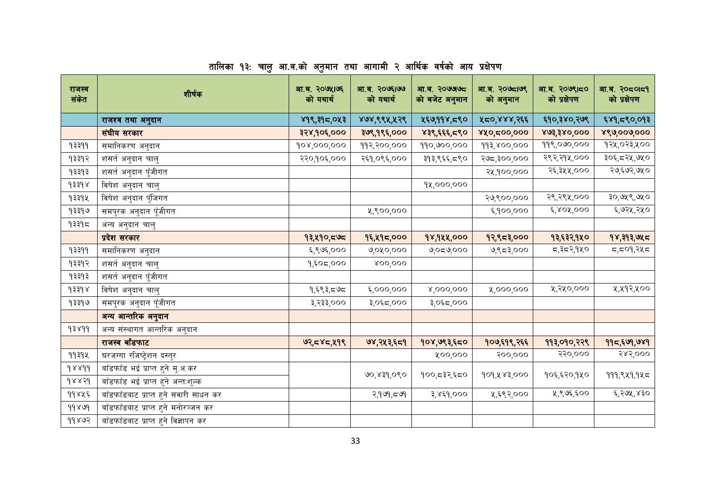| राजस्व<br>संकेत                  | शीर्षक                                 | आ.ब. २०७५।७६<br>को यथार्थ | आ.ब. २०७६1७७<br>को यथार्थ | आ.ब. २०७७७८<br>को बजेट अनुमान | आ.ब. २०७८1७९<br>को अनुमान | आ.ब. २०७९।८०<br>को प्रक्षेपण | आ.ब. २०८०१८१<br>को प्रक्षेपण |
|----------------------------------|----------------------------------------|---------------------------|---------------------------|-------------------------------|---------------------------|------------------------------|------------------------------|
|                                  | राजश्व तथा अनुदान                      | ४१९,३१८,०५३               | ४७४,९९५,५२९               | ५६७,११४,८९०                   | ५८०,४४४,२६६               | ६१०,३४०,२७९                  | ६४१,८९०,०१३                  |
|                                  | संघीय सरकार                            | ३२४,१०६,०००               | ३७९,१९६,०००               | ४३९,६६६,८९०                   | ४५०,द००,०००               | 863,380,000                  | ४९७,००७,०००                  |
| 9३३११                            | समानिकरण अनुदान                        | 908,000,000               | ११२,२००,०००               | 990,000,000                   | 99३,४००,०००               | 998,000,000                  | १२५,०२३,५००                  |
| १३३१२                            | शसर्त अनुदान चालु                      | २२०,१०६,०००               | २६१,०९६,०००               | ३१३,९६६,८९०                   | २७८,३००,०००               | २९२,२१५,०००                  | ३०६,८२५,७५०                  |
| १३३१३                            | शसर्त अनुदान पूँजीगत                   |                           |                           |                               | २५,१००,०००                | २६,३५५,०००                   | २७,६७२,७५०                   |
| 93398                            | विषेश अनुदान चालु                      |                           |                           | 9x,000,000                    |                           |                              |                              |
| १३३१५                            | विषेश अनुदान पुँजिगत                   |                           |                           |                               | २७,९००,०००                | २९,२९५,०००                   | ३०,७५९,७५०                   |
| १३३१७                            | समपुरक अनुदान पूँजीगत                  |                           | ५,९००,०००                 |                               | ६,१००,०००                 | ६,४०५,०००                    | ६,७२५,२५०                    |
| १३३१८                            | अन्य अनुदान चालु                       |                           |                           |                               |                           |                              |                              |
|                                  | प्रदेश सरकार                           | १३,५१०,८७८                | १६,५१८,०००                | १४,१५५,०००                    | १२,९८३,०००                | १३,६३२,१५०                   | १४,३१३,७५८                   |
| 9३३११                            | समानिकरण अनुदान                        | ६,९७६,०००                 | ७,०४०,०००                 | $\omega$ ಂದ $\omega$ ಂ        | ७,९८३,०००                 | ८,३८२,१५०                    | ८,८०१,२५८                    |
| १३३१२                            | शसते अनुदान चालु                       | १,६०८,०००                 | 800,000                   |                               |                           |                              |                              |
| १३३१३                            | शसर्त अनुदान पूँजीगत                   |                           |                           |                               |                           |                              |                              |
| $\gamma$ $\beta$ $\beta$ $\beta$ | विषेश अनुदान चालु                      | १,६९३,८७८                 | ६,०००,०००                 | x,000,000                     | x,000,000                 | ५,२५०,०००                    | ५,५१२,५००                    |
| १३३१७                            | समपुरक अनुदान पूँजीगत                  | ३,२३३,०००                 | ३,०६८,०००                 | ३,०६८,०००                     |                           |                              |                              |
|                                  | अन्य आन्तरिक अनुदान                    |                           |                           |                               |                           |                              |                              |
| 9३४99                            | अन्य संस्थागत आन्तरिक अनुदान           |                           |                           |                               |                           |                              |                              |
|                                  | राजस्व बाँडफाट                         | ७२,८४८,५१९                | ७४,२५३,६८१                | १०४,७९३,६८०                   | १०७,६१९,२६६               | ११३,०१०,२२९                  | ११८,६७१,७४१                  |
| 99394                            | घरजग्गा रजिष्ट्रेशन दस्तुर             |                           |                           | ४००,०००                       | २००,०००                   | २२०,०००                      | २४२,०००                      |
| 98899                            | बाँडफाँड भई प्राप्त हुने मु.अ.कर       |                           |                           |                               | १०१,५४३,०००               |                              |                              |
| 98856                            | बाँडफाँड भई प्राप्त हुने अन्त:शुल्क    |                           | ७०,४३१,०९०                | १००,द३२,६द०                   |                           | १०६,६२०,१५०                  | १११,९५१,१५८                  |
| ११४५६                            | बाँडफाँडबाट प्राप्त हुने सवारी साधन कर |                           | २,१७१,८७१                 | ३,४६१,०००                     | ५,६९२,०००                 | ५,९७६,६००                    | ६,२७५,४३०                    |
| 99899                            | बाँडफाँडबाट प्राप्त हुने मनोरञ्जन कर   |                           |                           |                               |                           |                              |                              |
| ११४७२                            | बाँडफाँडबाट प्राप्त हुने विज्ञापन कर   |                           |                           |                               |                           |                              |                              |

# तालिका १३: चालु आ.व.को अनुमान तथा आगामी २ आर्थिक वर्षको आय प्रक्षेपण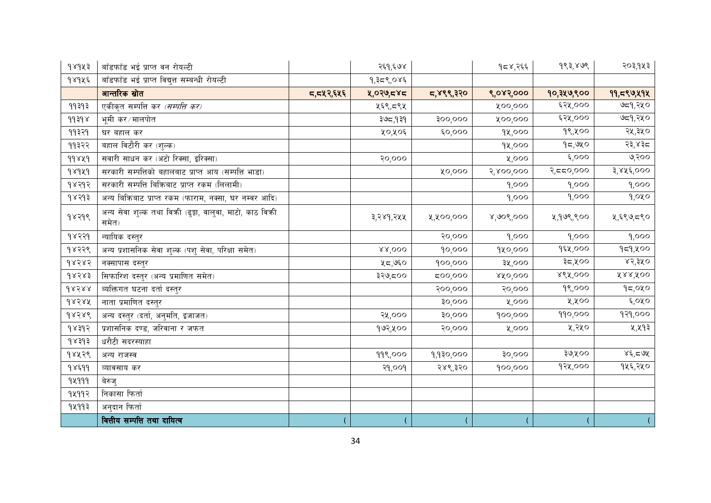| 98923 | बाँडफाँड भई प्राप्त वन रोयल्टी                                    |           | २६१,६७४   |                | $95\%$ , $256$ | 983,808     | २०३,१५३    |
|-------|-------------------------------------------------------------------|-----------|-----------|----------------|----------------|-------------|------------|
| १४१५६ | बाँडफाँड भई प्राप्त विद्युत्त सम्बन्धी रोयल्टी                    |           | १,३८९,०४६ |                |                |             |            |
|       | आन्तरिक स्रोत                                                     | ८,८४२,६५६ | ५,०२७,८४८ | 5,899,320      | ९,०४२,०००      | १०,३५७,९००  | 99,599,494 |
| 99393 | एकीकृत सम्पत्ति कर <i>(सम्पत्ति कर)</i>                           |           | ५६९,८९५   |                | ५००,०००        | ६२५,०००     | ७द्र१,२५०  |
| 99398 | भूमी कर∕मालपोत                                                    |           | ३७८,१३१   | <b>900,000</b> | ५००,०००        | ६२५,०००     | ७द्र१,२५०  |
| ११३२१ | घर बहाल कर                                                        |           | ५०,५०६    | 6,000          | 98,000         | १९,५००      | २५,३५०     |
| ११३२२ | बहाल विटौरी कर (शुल्क)                                            |           |           |                | 9४,०००         | 95,980      | २३,४३८     |
| 99849 | सवारी साधन कर (अटो रिक्सा, इरिक्सा)                               |           | २०,०००    |                | ५,०००          | $\xi,000$   | ७,२००      |
| 98949 | सरकारी सम्पत्तिको बहालबाट प्राप्त आय (सम्पत्ति भाडा)              |           |           | 0,000          | २,४००,०००      | २,दद०,०००   | ३,४५६,०००  |
| १४२१२ | सरकारी सम्पत्ति बिक्रिबाट प्राप्त रकम (लिलामी)                    |           |           |                | 9,000          | 9,000       | 9,000      |
| १४२१३ | अन्य बिक्रिबाट प्राप्त रकम (फाराम, नक्सा, घर नम्बर आदि)           |           |           |                | 9,000          | 9,000       | 9,080      |
| 98799 | अन्य सेवा शुल्क तथा विकी (ढुङ्गा, वालुवा, माटो, काठ विकी<br>समेत) |           | ३,२४१,२५५ | ५,५००,०००      | 8,908,000      | ५,१७९,९००   | ५,६९७,८९०  |
| १४२२१ | न्यायिक दस्तुर                                                    |           |           | २०,०००         | 9,000          | 9,000       | 9,000      |
| १४२२९ | अन्य प्रशासनिक सेवा शुल्क (पशु सेवा, परिक्षा समेत)                |           | 88,000    | 90,000         | १५०,०००        | १६५,०००     | 959,000    |
| d8585 | नक्सापास दस्तुर                                                   |           | ५८,७६०    | 900,000        | ३५,०००         | ३८,५००      | ४२,३५०     |
| १४२४३ | सिफारिश दस्तुर (अन्य प्रमाणित समेत)                               |           | ३२७,८००   | 500,000        | 80,000         | $88\%$ ,००० | 888,800    |
| 98588 | व्यक्तिगत घटना दर्ता दस्तुर                                       |           |           | २००,०००        | २०,०००         | 98,000      | 95,080     |
| dxsxx | नाता प्रमाणित दस्तुर                                              |           |           | 30000          | ५,०००          | ५,५००       | ६,०५०      |
| 68586 | <u>अन्य दस्तुर (दर्ता,</u> अनुमति, इजाजत)                         |           | २५,०००    | 30,000         | 900,000        | 990,000     | 979,000    |
| 98395 | प्रशासनिक दण्ड, जरिवाना र जफत                                     |           | १७२,५००   | २०,०००         | ५,०००          | ५,२५०       | ५,५१३      |
| 9x393 | धरौटी सदरस्याहा                                                   |           |           |                |                |             |            |
| १४५२९ | अन्य राजस्व                                                       |           | 999,000   | 9,9३०,०००      | 30,000         | ३७,५००      | 86,59      |
| 98599 | व्यावसाय कर                                                       |           | २१,००१    | २४९,३२०        | 900,000        | १२५,०००     | १५६,२५०    |
| 94999 | बेरुज्                                                            |           |           |                |                |             |            |
| १५११२ | निकासा फिर्ता                                                     |           |           |                |                |             |            |
| १५११३ | अनुदान फिर्ता                                                     |           |           |                |                |             |            |
|       | वित्तीय सम्पत्ति तथा दायित्व                                      |           |           |                |                |             |            |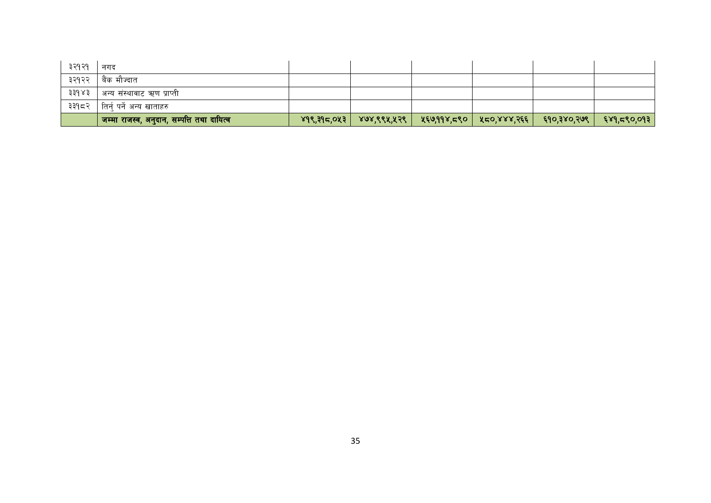| ३२१२१ | नगद                                                   |                |             |                           |                      |             |
|-------|-------------------------------------------------------|----------------|-------------|---------------------------|----------------------|-------------|
| ३२१२२ | बैंक मौज्दात                                          |                |             |                           |                      |             |
| ३३१४३ | अन्य संस्थावाट ऋण प्राप्ती                            |                |             |                           |                      |             |
| ३३१८२ | तिर्न् पर्ने अन्य खाताहरु                             |                |             |                           |                      |             |
|       | ' जम्मा राजस्व, अनुदान, सम्पत्ति तथा दायित्व <b>।</b> | $89$ ९,३१८,०५३ | ४७४,९९५,५२९ | ४६७,११४,८९०   ५८०,४४४,२६६ | <b>६१०,३४०,२७९  </b> | ६४१,द९०,०१३ |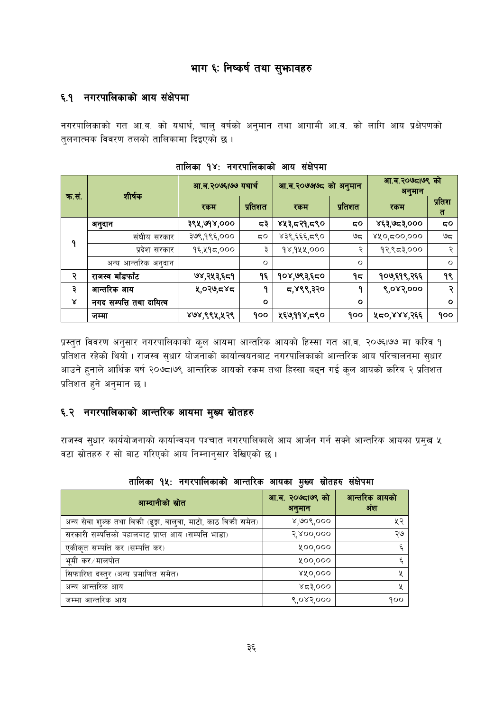# भाग ६: निष्कर्ष तथा सुभगवहरु

### ६.१ नगरपालिकाको आय संक्षेपमा

नगरपालिकाको गत आ.व. को यथार्थ, चालु वर्षको अनुमान तथा आगामी आ.व. को लागि आय प्रक्षेपणको तुलनात्मक विवरण तलको तालिकामा दिइएको छ।

|       | शीर्षक                   | आ.व.२०७६।७७ यथार्थ |         | आ.व.२०७७७८ को अनुमान |            | आ.व.२०७८।७९ को<br>अनुमान |             |
|-------|--------------------------|--------------------|---------|----------------------|------------|--------------------------|-------------|
| क.सं. |                          | रकम                | प्रतिशत | रकम                  | प्रतिशत    | रकम                      | प्रतिश<br>त |
|       | अनुदान                   | ३९५,७१४,०००        | ಧ३      | ४५३,८२१,८९०          | 5Ο         | ४६३,७८३,०००              | ςο          |
| ۹     | संघीय सरकार              | ३७९,१९६,०००        | ςο      | ४३९,६६६,८९०          | ಅಧ         | ४५०,द००,०००              | ಅದ          |
|       | प्रदेश सरकार             | १६,५१८,०००         | ३       | १४,१५५,०००           | ২          | १२,९८३,०००               | २           |
|       | अन्य आन्तरिक अनुदान      |                    | O       |                      | $\circ$    |                          | $\circ$     |
| २     | राजस्व बाँडफाँट          | ७४,२५३,६८१         | ۹६      | १०४,७९३,६८०          | ۹ς         | १०७,६१९,२६६              | १९          |
| ३     | आन्तरिक आय               | ५,०२७,८४८          | ٩       | ८,४९९,३२०            | ٩          | ९,०४२,०००                | २           |
| γ     | नगद सम्पत्ति तथा दायित्व |                    | $\circ$ |                      | $\circ$    |                          | $\circ$     |
|       | जम्मा                    | ४७४,९९५,५२९        | १००     | ५६७,११४,८९०          | <b>900</b> | ५८०,४४४,२६६              | <b>900</b>  |

| तालिका १४: नगरपालिकाको आय संक्षेपमा |  |
|-------------------------------------|--|
|-------------------------------------|--|

प्रस्तुत विवरण अनुसार नगरपालिकाको कुल आयमा आन्तरिक आयको हिस्सा गत आ.व. २०७६।७७ मा करिव १ प्रतिशत रहेको थियो । राजस्व सुधार योजनाको कार्यान्वयनबाट नगरपालिकाको आन्तरिक आय परिचालनमा सुधार आउने हुनाले आर्थिक वर्ष २०७८।७९ आन्तरिक आयको रकम तथा हिस्सा बढ्न गई कुल आयको करिव २ प्रतिशत प्रतिशत हुने अनुमान छ ।

# ६.२ नगरपालिकाको आन्तरिक आयमा मुख्य स्रोतहरु

राजस्व सुधार कार्ययोजनाको कार्यान्वयन पश्चात नगरपालिकाले आय आर्जन गर्न सक्ने आन्तरिक आयका प्रमुख ५ वटा स्रोतहरु र सो बाट गरिएको आय निम्नानुसार देखिएको छ।

| आम्दानीको स्रोत                                                | आ.ब. २०७८१७९ को<br>अनुमान | आन्तरिक आयको<br>अंश |
|----------------------------------------------------------------|---------------------------|---------------------|
| अन्य सेवा शुल्क तथा विकी (ढुङ्गा, वालुवा, माटो, काठ विकी समेत) | 8,908,000                 | ५२                  |
| सरकारी सम्पत्तिको बहालबाट प्राप्त आय (सम्पत्ति भाडा)           | 3,800,000                 | ২७                  |
| एकीकृत सम्पत्ति कर (सम्पत्ति कर)                               | ४००,०००                   | ٤,                  |
| भूमी कर∕मालपोत                                                 | ४००,०००                   | ٤,                  |
| सिफारिश दस्तुर (अन्य प्रमाणित समेत)                            | 880,000                   | X                   |
| अन्य आन्तरिक आय                                                | ४८३,०००                   | X                   |
| जम्मा आन्तरिक आय                                               | ९,०४२,०००                 | 900                 |

तालिका १५: नगरपालिकाको आन्तरिक आयका मुख्य स्रोतहरु संक्षेपमा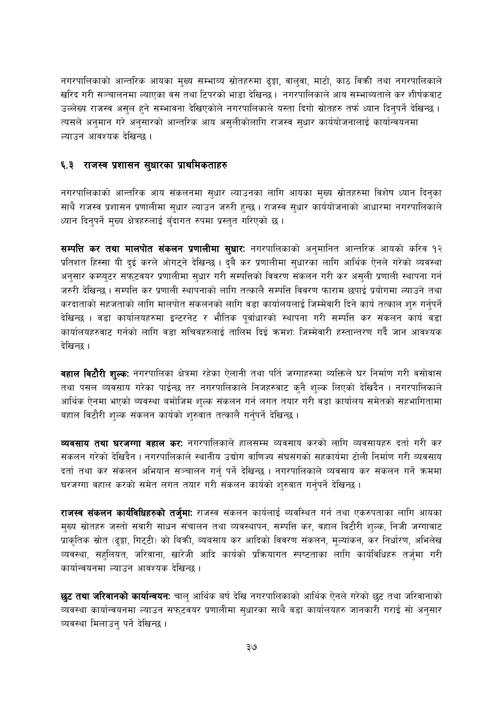नगरपालिकाको आन्तरिक आयका मुख्य सम्भाव्य स्रोतहरुमा ढुङ्गा, वालुवा, माटो, काठ विक्री तथा नगरपालिकाले खरिद गरी सञ्चालनमा ल्याएका वस तथा टिपरको भाडा देखिन्छ। नगरपालिकाले आय सम्भाब्यताले कर शीर्षकवाट उल्लेख्य राजस्व असुल हुने सम्भावना देखिएकोले नगरपालिकाले यस्ता दिगो स्रोतहरु तर्फ ध्यान दिनुपर्ने देखिन्छ । त्यसले अनुमान गरे अनुसारको आन्तरिक आय असुलीकोलागि राजस्व सुधार कार्ययोजनालाई कार्यान्वयनमा ल्याउन आवश्यक देखिन्छ ।

#### ६.३ राजस्व प्रशासन सुधारका प्राथमिकताहरु

नगरपालिकाको आन्तरिक आय संकलनमा सुधार ल्याउनका लागि आयका मुख्य स्रोतहरुमा विशेष ध्यान दिनुका साथै राजस्व प्रशासन प्रणालीमा सुधार ल्याउन जरुरी हुन्छ । राजस्व सुधार कार्ययोजनाको आधारमा नगरपालिकाले ध्यान दिनुपर्ने मुख्य क्षेत्रहरुलाई बँदागत रुपमा प्रस्तुत गरिएको छ ।

सम्पत्ति कर तथा मालपोत संकलन प्रणालीमा सुधारः नगरपालिकाको अनुमानित आन्तरिक आयको करिव १२ प्रतिशत हिस्सा यी दुई करले ओगट्ने देखिन्छ । दुबै कर प्रणालीमा सुधारका लागि आर्थिक ऐनले गरेको व्यवस्था अनुसार कम्प्युटर सफुटवयर प्रणालीमा सुधार गरी सम्पत्तिको विवरण संकलन गरी कर असुली प्रणाली स्थापना गर्न जरुरी देखिन्छ। सम्पत्ति कर प्रणाली स्थापनाको लागि तत्कालै सम्पत्ति विवरण फाराम छपाई प्रयोगमा ल्याउने तथा करदाताको सहजताको लागि मालपोत संकलनको लागि वडा कार्यालयलाई जिम्मेवारी दिने कार्य तत्काल शुरु गर्नुपर्ने देखिन्छ । वडा कार्यालयहरुमा इन्टरनेट र भौतिक पूर्वाधारको स्थापना गरी सम्पत्ति कर संकलन कार्य वडा कार्यालयहरुवाट गर्नको लागि वडा सचिवहरुलाई तालिम दिई क्रमश: जिम्मेवारी हस्तान्तरण गर्दै जान आवश्यक देखिन्छ ।

वहाल विटौरी शुल्कः नगरपालिका क्षेत्रमा रहेका ऐलानी तथा पर्ति जग्गाहरुमा व्यक्तिले घर निर्माण गरी वसोवास तथा पसल व्यवसाय गरेका पाईन्छ तर नगरपालिकाले निजहरुवाट क्नै शुल्क लिएको देखिदैन । नगरपालिकाले आर्थिक ऐनमा भएको व्यवस्था बमोजिम शुल्क संकलन गर्न लगत तयार गरी वडा कार्यालय समेतको सहभागितामा बहाल विटौरी शुल्क संकलन कार्यको शुरुवात तत्कालै गर्नुपर्ने देखिन्छ ।

**व्यवसाय तथा घरजग्गा वहाल कर:** नगरपालिकाले हालसम्म व्यवसाय करको लागि व्यवसायहरु दर्ता गरी कर संकलन गरेको देखिदैन । नगरपालिकाले स्थानीय उद्योग वाणिज्य संघसंगको सहकार्यमा टोली निर्माण गरी व्यवसाय दर्ता तथा कर संकलन अभियान सञ्चालन गर्नु पर्ने देखिन्छ । नगरपालिकाले व्यवसाय कर संकलन गर्ने क्रममा घरजग्गा वहाल करको समेत लगत तयार गरी संकलन कार्यको शुरुवात गर्नुपर्ने देखिन्छ ।

**राजस्व संकलन कार्यविधिहरुको तर्जुमा:** राजस्व संकलन कार्यलाई ब्यवस्थित गर्न तथा एकरुपताका लागि आयका मुख्य स्रोतहरु जस्तो सवारी साधन संचालन तथा व्यवस्थापन, सम्पत्ति कर, वहाल विटौरी शुल्क, निजी जग्गावाट प्राकृतिक स्रोत (ढुङ्गा, गिट्टी) को बिक्री, व्यबसाय कर आदिको विवरण संकलन, मुल्यांकन, कर निर्धारण, अभिलेख व्यवस्था, सहलियत, जरिवाना, खारेजी आदि कार्यको प्रक्रियागत स्पष्टताका लागि कार्यविधिहरु तर्जुमा गरी कार्यान्वयनमा ल्याउन आवश्यक देखिन्छ ।

**छुट तथा जरिवानको कार्यान्वयन:** चाल् आर्थिक बर्ष देखि नगरपालिकाको आर्थिक ऐनले गरेको छुट तथा जरिवानाको व्यवस्था कार्यान्वयनमा ल्याउन सफ्टवयर प्रणालीमा सुधारका साथै वडा कार्यालयहरु जानकारी गराई सो अनुसार व्यवस्था मिलाउन् पर्ने देखिन्छ।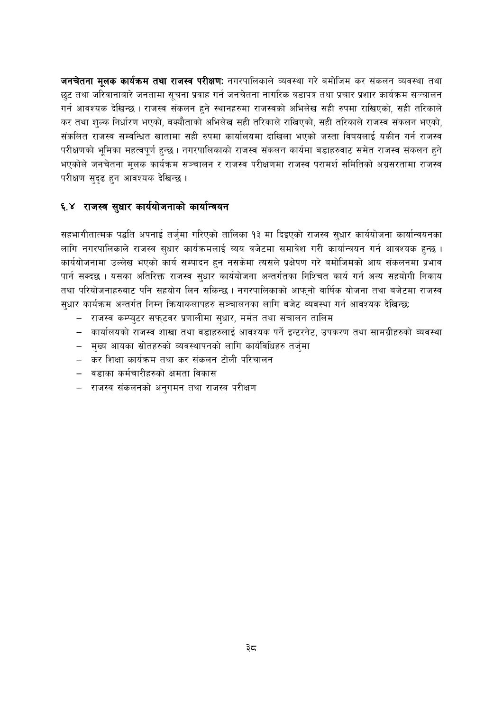जनचेतना मूलक कार्यक्रम तथा राजस्व परीक्षणः नगरपालिकाले व्यवस्था गरे बमोजिम कर संकलन व्यवस्था तथा छुट तथा जरिवानाबारे जनतामा सूचना प्रवाह गर्न जनचेतना नागरिक वडापत्र तथा प्रचार प्रशार कार्यक्रम सञ्चालन गर्न आवश्यक देखिन्छ । राजस्व संकलन हुने स्थानहरुमा राजस्वको अभिलेख सही रुपमा राखिएको, सही तरिकाले कर तथा शुल्क निर्धारण भएको, बक्यौताको अभिलेख सही तरिकाले राखिएको, सही तरिकाले राजस्व संकलन भएको, संकलित राजस्व सम्वन्धित खातामा सही रुपमा कार्यालयमा दाखिला भएको जस्ता विषयलाई यकीन गर्न राजस्व परीक्षणको भूमिका महत्वपूर्ण हुन्छ । नगरपालिकाको राजस्व संकलन कार्यमा बडाहरुवाट समेत राजस्व संकलन हुने भएकोले जनचेतना मूलक कार्यक्रम सञ्चालन र राजस्व परीक्षणमा राजस्व परामर्श समितिको अग्रसरतामा राजस्व परीक्षण सुदृढ हुन आवश्यक देखिन्छ ।

# ६.४ राजस्व सुधार कार्ययोजनाको कार्यान्वयन

सहभागीतात्मक पद्धति अपनाई तर्जुमा गरिएको तालिका १३ मा दिइएको राजस्व सुधार कार्ययोजना कार्यान्वयनका लागि नगरपालिकाले राजस्व सुधार कार्यक्रमलाई ब्यय वजेटमा समावेश गरी कार्यान्वयन गर्न आवश्यक हुन्छ । कार्ययोजनामा उल्लेख भएको कार्य सम्पादन हुन नसकेमा त्यसले प्रक्षेपण गरे बमोजिमको आय संकलनमा प्रभाव पार्न सक्दछ । यसका अतिरिक्त राजस्व सुधार कार्ययोजना अन्तर्गतका निश्चित कार्य गर्न अन्य सहयोगी निकाय तथा परियोजनाहरुबाट पनि सहयोग लिन सकिन्छ । नगरपालिकाको आफ्नो वार्षिक योजना तथा बजेटमा राजस्व सुधार कार्यक्रम अन्तर्गत निम्न क्रियाकलापहरु सञ्चालनका लागि बजेट व्यवस्था गर्न आवश्यक देखिन्छ:

- राजस्व कम्प्युटर सफुटवर प्रणालीमा सुधार, मर्मत तथा संचालन तालिम
- कार्यालयको राजस्व शाखा तथा वडाहरुलाई आवश्यक पर्ने इन्टरनेट, उपकरण तथा सामग्रीहरुको व्यवस्था
- मुख्य आयका स्रोतहरुको व्यवस्थापनको लागि कार्यविधिहरु तर्जुमा
- कर शिक्षा कार्यक्रम तथा कर संकलन टोली परिचालन
- वडाका कर्मचारीहरुको क्षमता विकास
- राजस्व संकलनको अनुगमन तथा राजस्व परीक्षण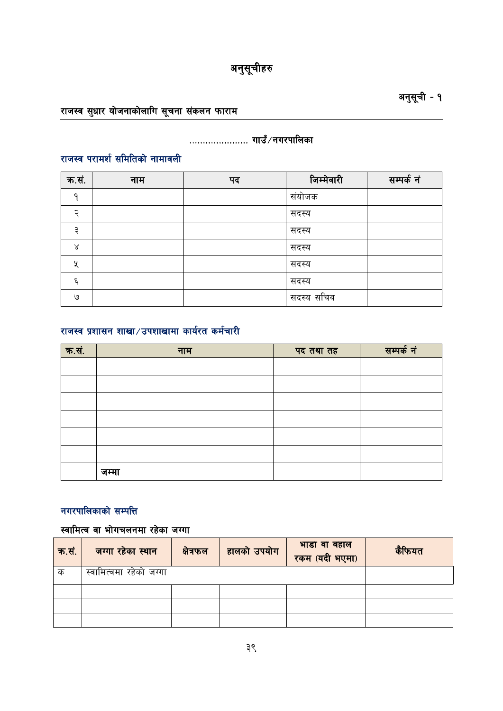# राजस्व सुधार योजनाकोलागि सूचना संकलन फाराम

# ...................... गाउँ/नगरपालिका

# राजस्व परामर्श समितिको नामावली

| क.सं. | नाम | पद | जिम्मेवारी | सम्पर्क नं |
|-------|-----|----|------------|------------|
| റ     |     |    | संयोजक     |            |
| ≎     |     |    | सदस्य      |            |
| ₽     |     |    | सदस्य      |            |
| Χ     |     |    | सदस्य      |            |
| ५     |     |    | सदस्य      |            |
| ٤     |     |    | सदस्य      |            |
| ৩     |     |    | सदस्य सचिव |            |

# राजस्व प्रशासन शाखा/उपशाखामा कार्यरत कर्मचारी

| क.सं. | नाम   | पद तथा तह | सम्पर्क नं |
|-------|-------|-----------|------------|
|       |       |           |            |
|       |       |           |            |
|       |       |           |            |
|       |       |           |            |
|       |       |           |            |
|       |       |           |            |
|       | जम्मा |           |            |

# नगरपालिकाको सम्पत्ति

# स्वामित्व वा भोगचलनमा रहेका जग्गा

| क.सं. | जग्गा रहेका स्थान       | क्षेत्रफल | हालको उपयोग | भाडा वा बहाल<br>रकम (यदी भएमा) | कैफियत |
|-------|-------------------------|-----------|-------------|--------------------------------|--------|
| क     | स्वामित्वमा रहेको जग्गा |           |             |                                |        |
|       |                         |           |             |                                |        |
|       |                         |           |             |                                |        |
|       |                         |           |             |                                |        |